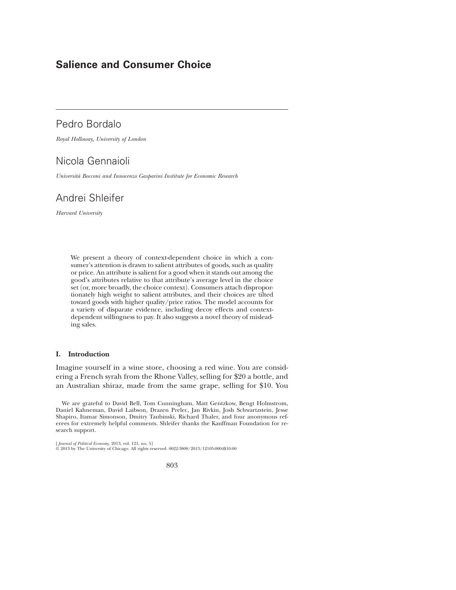# Salience and Consumer Choice

# Pedro Bordalo

Royal Holloway, University of London

# Nicola Gennaioli

Universita` Bocconi and Innocenzo Gasparini Institute for Economic Research

# Andrei Shleifer

Harvard University

We present a theory of context-dependent choice in which a consumer's attention is drawn to salient attributes of goods, such as quality or price. An attribute is salient for a good when it stands out among the good's attributes relative to that attribute's average level in the choice set (or, more broadly, the choice context). Consumers attach disproportionately high weight to salient attributes, and their choices are tilted toward goods with higher quality/price ratios. The model accounts for a variety of disparate evidence, including decoy effects and contextdependent willingness to pay. It also suggests a novel theory of misleading sales.

# I. Introduction

Imagine yourself in a wine store, choosing a red wine. You are considering a French syrah from the Rhone Valley, selling for \$20 a bottle, and an Australian shiraz, made from the same grape, selling for \$10. You

We are grateful to David Bell, Tom Cunningham, Matt Gentzkow, Bengt Holmstrom, Daniel Kahneman, David Laibson, Drazen Prelec, Jan Rivkin, Josh Schwartzstein, Jesse Shapiro, Itamar Simonson, Dmitry Taubinski, Richard Thaler, and four anonymous referees for extremely helpful comments. Shleifer thanks the Kauffman Foundation for research support.

[ Journal of Political Economy, 2013, vol. 121, no. 5]

© 2013 by The University of Chicago. All rights reserved. 0022-3808/2013/12105-0004\$10.00

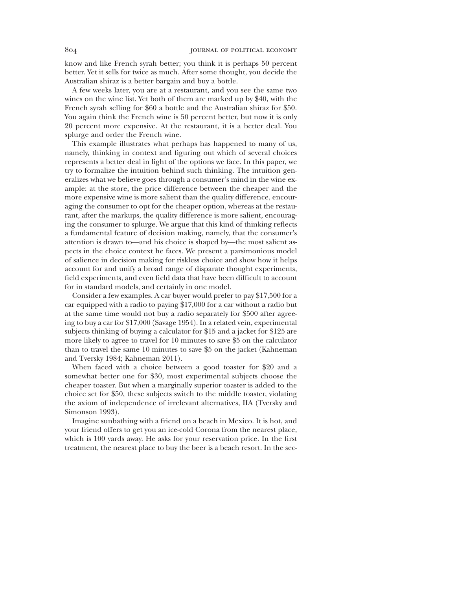know and like French syrah better; you think it is perhaps 50 percent better. Yet it sells for twice as much. After some thought, you decide the Australian shiraz is a better bargain and buy a bottle.

A few weeks later, you are at a restaurant, and you see the same two wines on the wine list. Yet both of them are marked up by \$40, with the French syrah selling for \$60 a bottle and the Australian shiraz for \$50. You again think the French wine is 50 percent better, but now it is only 20 percent more expensive. At the restaurant, it is a better deal. You splurge and order the French wine.

This example illustrates what perhaps has happened to many of us, namely, thinking in context and figuring out which of several choices represents a better deal in light of the options we face. In this paper, we try to formalize the intuition behind such thinking. The intuition generalizes what we believe goes through a consumer's mind in the wine example: at the store, the price difference between the cheaper and the more expensive wine is more salient than the quality difference, encouraging the consumer to opt for the cheaper option, whereas at the restaurant, after the markups, the quality difference is more salient, encouraging the consumer to splurge. We argue that this kind of thinking reflects a fundamental feature of decision making, namely, that the consumer's attention is drawn to—and his choice is shaped by—the most salient aspects in the choice context he faces. We present a parsimonious model of salience in decision making for riskless choice and show how it helps account for and unify a broad range of disparate thought experiments, field experiments, and even field data that have been difficult to account for in standard models, and certainly in one model.

Consider a few examples. A car buyer would prefer to pay \$17,500 for a car equipped with a radio to paying \$17,000 for a car without a radio but at the same time would not buy a radio separately for \$500 after agreeing to buy a car for \$17,000 (Savage 1954). In a related vein, experimental subjects thinking of buying a calculator for \$15 and a jacket for \$125 are more likely to agree to travel for 10 minutes to save \$5 on the calculator than to travel the same 10 minutes to save  $$5$  on the jacket (Kahneman and Tversky 1984; Kahneman 2011).

When faced with a choice between a good toaster for \$20 and a somewhat better one for \$30, most experimental subjects choose the cheaper toaster. But when a marginally superior toaster is added to the choice set for \$50, these subjects switch to the middle toaster, violating the axiom of independence of irrelevant alternatives, IIA (Tversky and Simonson 1993).

Imagine sunbathing with a friend on a beach in Mexico. It is hot, and your friend offers to get you an ice-cold Corona from the nearest place, which is 100 yards away. He asks for your reservation price. In the first treatment, the nearest place to buy the beer is a beach resort. In the sec-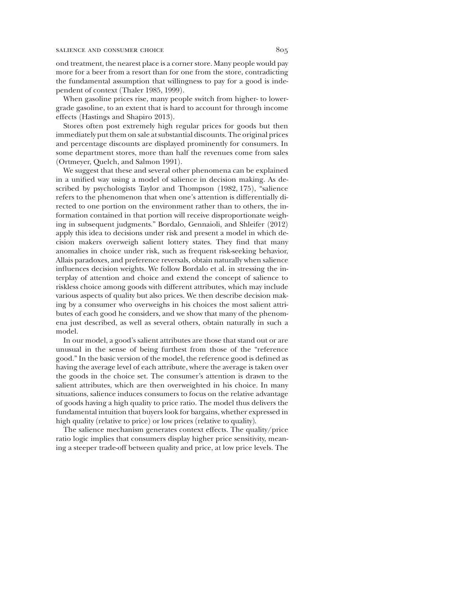# salience and consumer choice 805

ond treatment, the nearest place is a corner store. Many people would pay more for a beer from a resort than for one from the store, contradicting the fundamental assumption that willingness to pay for a good is independent of context (Thaler 1985, 1999).

When gasoline prices rise, many people switch from higher- to lowergrade gasoline, to an extent that is hard to account for through income effects (Hastings and Shapiro 2013).

Stores often post extremely high regular prices for goods but then immediately put them on sale at substantial discounts. The original prices and percentage discounts are displayed prominently for consumers. In some department stores, more than half the revenues come from sales (Ortmeyer, Quelch, and Salmon 1991).

We suggest that these and several other phenomena can be explained in a unified way using a model of salience in decision making. As described by psychologists Taylor and Thompson (1982, 175), "salience refers to the phenomenon that when one's attention is differentially directed to one portion on the environment rather than to others, the information contained in that portion will receive disproportionate weighing in subsequent judgments." Bordalo, Gennaioli, and Shleifer (2012) apply this idea to decisions under risk and present a model in which decision makers overweigh salient lottery states. They find that many anomalies in choice under risk, such as frequent risk-seeking behavior, Allais paradoxes, and preference reversals, obtain naturally when salience influences decision weights. We follow Bordalo et al. in stressing the interplay of attention and choice and extend the concept of salience to riskless choice among goods with different attributes, which may include various aspects of quality but also prices. We then describe decision making by a consumer who overweighs in his choices the most salient attributes of each good he considers, and we show that many of the phenomena just described, as well as several others, obtain naturally in such a model.

In our model, a good's salient attributes are those that stand out or are unusual in the sense of being furthest from those of the "reference good." In the basic version of the model, the reference good is defined as having the average level of each attribute, where the average is taken over the goods in the choice set. The consumer's attention is drawn to the salient attributes, which are then overweighted in his choice. In many situations, salience induces consumers to focus on the relative advantage of goods having a high quality to price ratio. The model thus delivers the fundamental intuition that buyers look for bargains, whether expressed in high quality (relative to price) or low prices (relative to quality).

The salience mechanism generates context effects. The quality/price ratio logic implies that consumers display higher price sensitivity, meaning a steeper trade-off between quality and price, at low price levels. The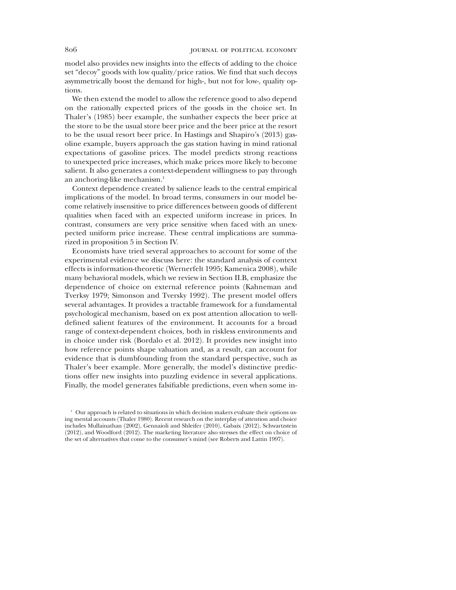model also provides new insights into the effects of adding to the choice set "decoy" goods with low quality/price ratios. We find that such decoys asymmetrically boost the demand for high-, but not for low-, quality options.

We then extend the model to allow the reference good to also depend on the rationally expected prices of the goods in the choice set. In Thaler's (1985) beer example, the sunbather expects the beer price at the store to be the usual store beer price and the beer price at the resort to be the usual resort beer price. In Hastings and Shapiro's (2013) gasoline example, buyers approach the gas station having in mind rational expectations of gasoline prices. The model predicts strong reactions to unexpected price increases, which make prices more likely to become salient. It also generates a context-dependent willingness to pay through an anchoring-like mechanism.1

Context dependence created by salience leads to the central empirical implications of the model. In broad terms, consumers in our model become relatively insensitive to price differences between goods of different qualities when faced with an expected uniform increase in prices. In contrast, consumers are very price sensitive when faced with an unexpected uniform price increase. These central implications are summarized in proposition 5 in Section IV.

Economists have tried several approaches to account for some of the experimental evidence we discuss here: the standard analysis of context effects is information-theoretic (Wernerfelt 1995; Kamenica 2008), while many behavioral models, which we review in Section II.B, emphasize the dependence of choice on external reference points (Kahneman and Tverksy 1979; Simonson and Tversky 1992). The present model offers several advantages. It provides a tractable framework for a fundamental psychological mechanism, based on ex post attention allocation to welldefined salient features of the environment. It accounts for a broad range of context-dependent choices, both in riskless environments and in choice under risk (Bordalo et al. 2012). It provides new insight into how reference points shape valuation and, as a result, can account for evidence that is dumbfounding from the standard perspective, such as Thaler's beer example. More generally, the model's distinctive predictions offer new insights into puzzling evidence in several applications. Finally, the model generates falsifiable predictions, even when some in-

 $1$  Our approach is related to situations in which decision makers evaluate their options using mental accounts (Thaler 1980). Recent research on the interplay of attention and choice includes Mullainathan (2002), Gennaioli and Shleifer (2010), Gabaix (2012), Schwartzstein  $(2012)$ , and Woodford  $(2012)$ . The marketing literature also stresses the effect on choice of the set of alternatives that come to the consumer's mind (see Roberts and Lattin 1997).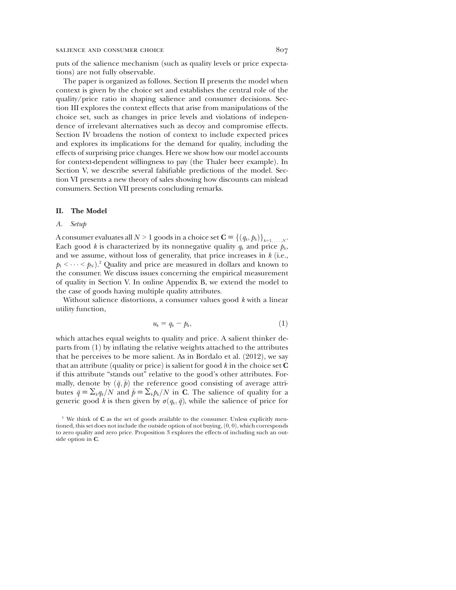puts of the salience mechanism (such as quality levels or price expectations) are not fully observable.

The paper is organized as follows. Section II presents the model when context is given by the choice set and establishes the central role of the quality/price ratio in shaping salience and consumer decisions. Section III explores the context effects that arise from manipulations of the choice set, such as changes in price levels and violations of independence of irrelevant alternatives such as decoy and compromise effects. Section IV broadens the notion of context to include expected prices and explores its implications for the demand for quality, including the effects of surprising price changes. Here we show how our model accounts for context-dependent willingness to pay (the Thaler beer example). In Section V, we describe several falsifiable predictions of the model. Section VI presents a new theory of sales showing how discounts can mislead consumers. Section VII presents concluding remarks.

# II. The Model

# A. Setup

A consumer evaluates all  $N > 1$  goods in a choice set  $\mathbf{C} \equiv \{ (q_k, p_k) \}_{k=1,\ldots,N}$ . Each good k is characterized by its nonnegative quality  $q_k$  and price  $p_k$ , and we assume, without loss of generality, that price increases in  $k$  (i.e.,  $p_1 < \cdots < p_N$ ).<sup>2</sup> Quality and price are measured in dollars and known to the consumer. We discuss issues concerning the empirical measurement  $t_1$  for  $t_2$  and  $t_3$  and  $t_4$  is the measurement of the consumer. We discuss issues concerning the empirical measurement of quality in Section V. In online Appendix B, we extend the model to the case of goods having multiple quality attributes.

Without salience distortions, a consumer values good k with a linear utility function,

$$
u_k = q_k - p_k, \tag{1}
$$

which attaches equal weights to quality and price. A salient thinker departs from  $(1)$  by inflating the relative weights attached to the attributes that he perceives to be more salient. As in Bordalo et al.  $(2012)$ , we say that an attribute (quality or price) is salient for good k in the choice set  $C$ if this attribute "stands out" relative to the good's other attributes. Formally, denote by  $(\bar{q}, \bar{p})$  the reference good consisting of average attri-<br>butes  $\bar{q} = \sum a/N$  and  $\bar{b} = \sum a/N$  in C. The salience of quality for a butes  $\bar{q} = \sum_{k} q_{k}/N$  and  $\bar{p} = \sum_{k} p_{k}/N$  in C. The salience of quality for a generic good k is then given by  $\sigma(q_k, \bar{q})$ , while the salience of price for

<sup>&</sup>lt;sup>2</sup> We think of **C** as the set of goods available to the consumer. Unless explicitly mentioned, this set does not include the outside option of not buying,  $(0, 0)$ , which corresponds to zero quality and zero price. Proposition 3 explores the effects of including such an outside option in C.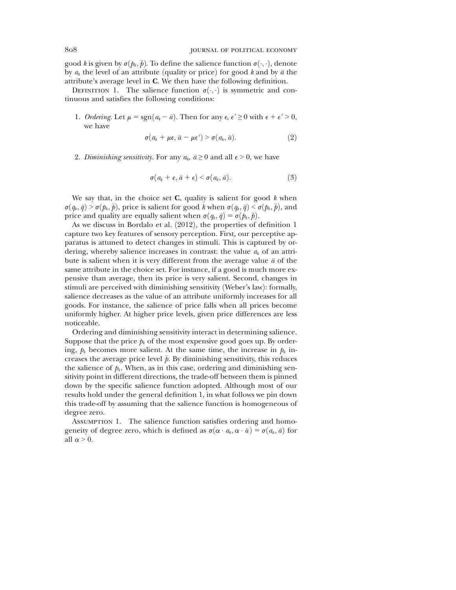good k is given by  $\sigma(p_k, \bar{p})$ . To define the salience function  $\sigma(\cdot, \cdot)$ , denote by  $a_k$  the level of an attribute (quality or price) for good k and by  $\bar{a}$  the artribute's average level in C. We then have the following definition attribute's average level in C. We then have the following definition.

DEFINITION 1. The salience function  $\sigma(\cdot, \cdot)$  is symmetric and continuous and satisfies the following conditions:

1. *Ordering*. Let  $\mu = \text{sgn}(a_k - \bar{a})$ . Then for any  $\epsilon, \epsilon' \ge 0$  with  $\epsilon + \epsilon' > 0$ , we have we have

$$
\sigma(a_k+\mu\epsilon,\bar{a}-\mu\epsilon')>\sigma(a_k,\bar{a}).
$$
\n(2)

2. Diminishing sensitivity. For any  $a_k$ ,  $\bar{a} \ge 0$  and all  $\epsilon > 0$ , we have

$$
\sigma(a_k+\epsilon,\bar{a}+\epsilon)<\sigma(a_k,\bar{a}).
$$
\n(3)

We say that, in the choice set  $C$ , quality is salient for good  $k$  when  $\sigma(q_k, \bar{q}) > \sigma(p_k, \bar{p})$ , price is salient for good k when  $\sigma(q_k, \bar{q}) < \sigma(p_k, \bar{p})$ , and price and quality are equally salient when  $\sigma(q_k, \bar{q}) = \sigma(p_k, \bar{p})$ . price and quality are equally salient when  $\sigma(q_k, \bar{q}) = \sigma(p_k, \bar{p})$ .<br>As we discuss in Bordalo et al. (9019), the properties of  $\sigma$ .

As we discuss in Bordalo et al.  $(2012)$ , the properties of definition 1 capture two key features of sensory perception. First, our perceptive apparatus is attuned to detect changes in stimuli. This is captured by ordering, whereby salience increases in contrast: the value  $a_k$  of an attribute is salient when it is very different from the average value  $\bar{a}$  of the same attribute in the choice set. For instance, if a good is much more expensive than average, then its price is very salient. Second, changes in stimuli are perceived with diminishing sensitivity (Weber's law): formally, salience decreases as the value of an attribute uniformly increases for all goods. For instance, the salience of price falls when all prices become uniformly higher. At higher price levels, given price differences are less noticeable.

Ordering and diminishing sensitivity interact in determining salience. Suppose that the price  $p_k$  of the most expensive good goes up. By ordering,  $p_k$  becomes more salient. At the same time, the increase in  $p_k$  increases the average price level  $\bar{p}$ . By diminishing sensitivity, this reduces the salience of  $p_k$ . When, as in this case, ordering and diminishing sensitivity point in different directions, the trade-off between them is pinned down by the specific salience function adopted. Although most of our results hold under the general definition 1, in what follows we pin down this trade-off by assuming that the salience function is homogeneous of degree zero.

ASSUMPTION 1. The salience function satisfies ordering and homogeneity of degree zero, which is defined as  $\sigma(\alpha \cdot a_k, \alpha \cdot \bar{a}) = \sigma(a_k, \bar{a})$  for all  $\alpha > 0$ .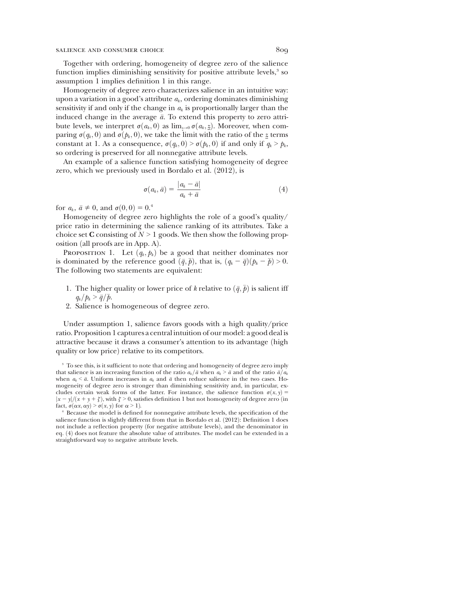Together with ordering, homogeneity of degree zero of the salience function implies diminishing sensitivity for positive attribute levels, $3$  so assumption 1 implies definition 1 in this range.

Homogeneity of degree zero characterizes salience in an intuitive way: upon a variation in a good's attribute  $a_k$ , ordering dominates diminishing sensitivity if and only if the change in  $a_k$  is proportionally larger than the induced change in the average  $\bar{a}$ . To extend this property to zero attribute levels, we interpret  $\sigma(a_k, 0)$  as lim<sub> $z\rightarrow 0$ </sub>  $\sigma(a_k, z)$ . Moreover, when comparing  $\sigma(q_k, 0)$  and  $\sigma(p_k, 0)$ , we take the limit with the ratio of the z terms constant at 1. As a consequence,  $\sigma(q_k, 0) > \sigma(p_k, 0)$  if and only if  $q_k > p_k$ , so ordering is preserved for all nonnegative attribute levels.

An example of a salience function satisfying homogeneity of degree zero, which we previously used in Bordalo et al.  $(2012)$ , is

$$
\sigma(a_k, \bar{a}) = \frac{|a_k - \bar{a}|}{a_k + \bar{a}} \tag{4}
$$

for  $a_k$ ,  $\bar{a} \neq 0$ , and  $\sigma(0,0) = 0$ <sup>4</sup>.<br>Homogeneity of degree zer

Homogeneity of degree zero highlights the role of a good's quality/ price ratio in determining the salience ranking of its attributes. Take a choice set **C** consisting of  $N > 1$  goods. We then show the following proposition (all proofs are in App. A).

PROPOSITION 1. Let  $(q_k, p_k)$  be a good that neither dominates nor is dominated by the reference good  $(\bar{q}, \bar{p})$ , that is,  $(q_k - \bar{q})(p_k - \bar{p}) > 0$ .<br>The following two statements are equivalent: The following two statements are equivalent:

- 1. The higher quality or lower price of k relative to  $(\bar{q}, \bar{p})$  is salient iff  $q/h > \bar{q}/\bar{h}$  $q_k/p_k > \overline{\overline{q}}/\overline{p}.$
- 2. Salience is homogeneous of degree zero.

Under assumption 1, salience favors goods with a high quality/price ratio. Proposition 1 captures a central intuition of our model: a good deal is attractive because it draws a consumer's attention to its advantage (high quality or low price) relative to its competitors.

<sup>&</sup>lt;sup>3</sup> To see this, is it sufficient to note that ordering and homogeneity of degree zero imply that salience is an increasing function of the ratio  $a_k/\bar{a}$  when  $a_k > \bar{a}$  and of the ratio  $\bar{a}/a_k$ when  $a_k < \bar{a}$ . Uniform increases in  $a_k$  and  $\bar{a}$  then reduce salience in the two cases. Homogeneity of degree zero is stronger than diminishing sensitivity and, in particular, excludes certain weak forms of the latter. For instance, the salience function  $\sigma(x, y)$  =  $|x-y|/(x+y+\zeta)$ , with  $\zeta > 0$ , satisfies definition 1 but not homogeneity of degree zero (in fact,  $\sigma(\alpha x, \alpha y) > \sigma(x, y)$  for  $\alpha > 1$ ).

Because the model is defined for nonnegative attribute levels, the specification of the salience function is slightly different from that in Bordalo et al.  $(2012)$ : Definition 1 does not include a reflection property (for negative attribute levels), and the denominator in eq. (4) does not feature the absolute value of attributes. The model can be extended in a straightforward way to negative attribute levels.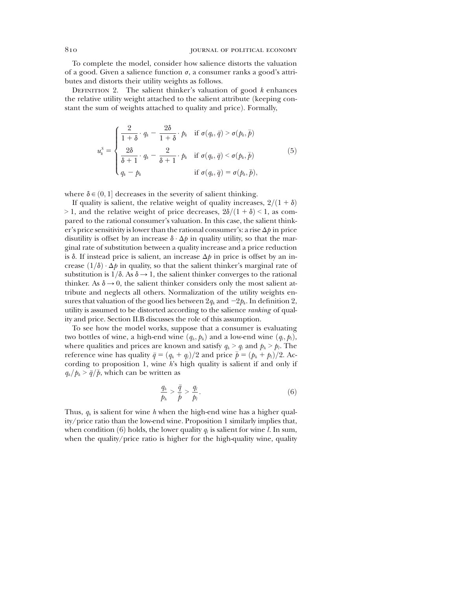To complete the model, consider how salience distorts the valuation of a good. Given a salience function  $\sigma$ , a consumer ranks a good's attributes and distorts their utility weights as follows.

DEFINITION 2. The salient thinker's valuation of good  $k$  enhances the relative utility weight attached to the salient attribute (keeping constant the sum of weights attached to quality and price). Formally,

$$
u_k^s = \begin{cases} \frac{2}{1+\delta} \cdot q_k - \frac{2\delta}{1+\delta} \cdot p_k & \text{if } \sigma(q_k, \bar{q}) > \sigma(p_k, \bar{p}) \\ \frac{2\delta}{\delta+1} \cdot q_k - \frac{2}{\delta+1} \cdot p_k & \text{if } \sigma(q_k, \bar{q}) < \sigma(p_k, \bar{p}) \\ q_k - p_k & \text{if } \sigma(q_k, \bar{q}) = \sigma(p_k, \bar{p}), \end{cases}
$$
(5)

where  $\delta \in (0, 1]$  decreases in the severity of salient thinking.

If quality is salient, the relative weight of quality increases,  $2/(1 + \delta)$  $> 1$ , and the relative weight of price decreases,  $2\delta/(1 + \delta) < 1$ , as compared to the rational consumer's valuation. In this case, the salient thinker's price sensitivity is lower than the rational consumer's: a rise  $\Delta p$  in price disutility is offset by an increase  $\delta \cdot \Delta p$  in quality utility, so that the mar-<br>ginal rate of substitution between a quality increase and a price reduction ginal rate of substitution between a quality increase and a price reduction is  $\delta$ . If instead price is salient, an increase  $\Delta p$  in price is offset by an increase  $(1/\delta) \cdot \Delta p$  in quality, so that the salient thinker's marginal rate of substitution is  $1/\delta$ ,  $\Delta s \cdot \delta \rightarrow 1$ , the salient thinker converges to the rational substitution is  $1/\delta$ . As  $\delta \rightarrow 1$ , the salient thinker converges to the rational thinker. As  $\delta \rightarrow 0$ , the salient thinker considers only the most salient attribute and neglects all others. Normalization of the utility weights ensures that valuation of the good lies between  $2q_k$  and  $-2p_k$ . In definition 2, utility is assumed to be distorted according to the salience ranking of quality and price. Section II.B discusses the role of this assumption.

To see how the model works, suppose that a consumer is evaluating two bottles of wine, a high-end wine  $(q_h, p_h)$  and a low-end wine  $(q_l, p_l)$ , where qualities and prices are known and satisfy  $q_h > q_l$  and  $p_h > p_l$ . The reference wine has quality  $\bar{q} = (q_h + q_l)/2$  and price  $\bar{p} = (p_h + p_l)/2$ . According to proposition 1, wine h's high quality is salient if and only if cording to proposition 1, wine h's high quality is salient if and only if  $q_h/p_h > \overline{\overline{q}}/\overline{p}$ , which can be written as

$$
\frac{q_h}{p_h} > \frac{\bar{q}}{\bar{p}} > \frac{q_l}{p_l}.\tag{6}
$$

Thus,  $q_h$  is salient for wine h when the high-end wine has a higher quality/price ratio than the low-end wine. Proposition 1 similarly implies that, when condition (6) holds, the lower quality  $q_l$  is salient for wine l. In sum, when the quality/price ratio is higher for the high-quality wine, quality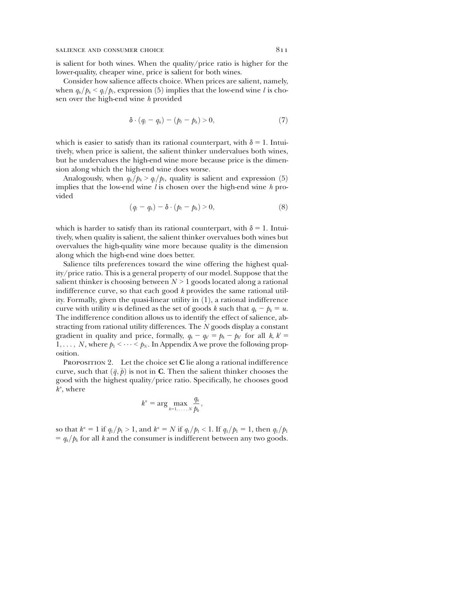is salient for both wines. When the quality/price ratio is higher for the lower-quality, cheaper wine, price is salient for both wines.

Consider how salience affects choice. When prices are salient, namely, when  $q_h/p_h < q_l/p_l$ , expression (5) implies that the low-end wine l is chosen over the high-end wine h provided

$$
\delta \cdot (q_l - q_h) - (p_l - p_h) > 0,\tag{7}
$$

which is easier to satisfy than its rational counterpart, with  $\delta = 1$ . Intuitively, when price is salient, the salient thinker undervalues both wines, but he undervalues the high-end wine more because price is the dimension along which the high-end wine does worse.

Analogously, when  $q_h / p_h > q_l / p_l$ , quality is salient and expression (5) implies that the low-end wine  $l$  is chosen over the high-end wine  $h$  provided

$$
(q_i - q_h) - \delta \cdot (p_i - p_h) > 0,
$$
\n(8)

which is harder to satisfy than its rational counterpart, with  $\delta = 1$ . Intuitively, when quality is salient, the salient thinker overvalues both wines but overvalues the high-quality wine more because quality is the dimension along which the high-end wine does better.

Salience tilts preferences toward the wine offering the highest quality/price ratio. This is a general property of our model. Suppose that the salient thinker is choosing between  $N > 1$  goods located along a rational indifference curve, so that each good  $k$  provides the same rational utility. Formally, given the quasi-linear utility in  $(1)$ , a rational indifference curve with utility u is defined as the set of goods k such that  $q_k - p_k = u$ . The indifference condition allows us to identify the effect of salience, abstracting from rational utility differences. The N goods display a constant gradient in quality and price, formally,  $q_k - q_{k'} = p_k - p_{k'}$  for all k,  $k' =$  $\overline{1},\ldots,N$ , where  $p_1 < \cdots < p_N$ . In Appendix A we prove the following proposition osition.

PROPOSITION 2. Let the choice set  $C$  lie along a rational indifference curve, such that  $(\bar{q}, \bar{p})$  is not in **C**. Then the salient thinker chooses the good with the highest quality/price ratio. Specifically he chooses good good with the highest quality/price ratio. Specifically, he chooses good  $k^*$ , where

$$
k^* = \arg \max_{k=1,\ldots,N} \frac{q_k}{p_k},
$$

so that  $k^* = 1$  if  $q_1/p_1 > 1$ , and  $k^* = N$  if  $q_1/p_1 < 1$ . If  $q_1/p_1 = 1$ , then  $q_1/p_1$  $= q_k/p_k$  for all k and the consumer is indifferent between any two goods.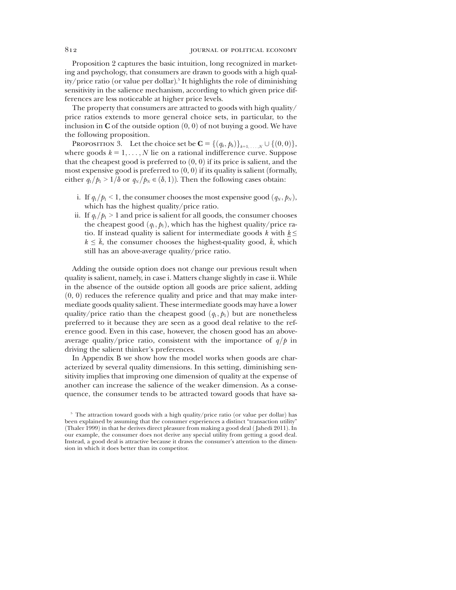Proposition 2 captures the basic intuition, long recognized in marketing and psychology, that consumers are drawn to goods with a high quality/price ratio (or value per dollar).<sup>5</sup> It highlights the role of diminishing sensitivity in the salience mechanism according to which given price difsensitivity in the salience mechanism, according to which given price differences are less noticeable at higher price levels.

The property that consumers are attracted to goods with high quality/ price ratios extends to more general choice sets, in particular, to the inclusion in  $C$  of the outside option  $(0, 0)$  of not buying a good. We have the following proposition.

PROPOSITION 3. Let the choice set be  $\mathbf{C} = \{(q_k, p_k)\}_{k=1,\ldots,N} \cup \{(0,0)\},\$ where goods  $k = 1, \ldots, N$  lie on a rational indifference curve. Suppose that the cheapest good is preferred to  $(0, 0)$  if its price is salient, and the most expensive good is preferred to  $(0, 0)$  if its quality is salient (formally, either  $q_1/p_1 > 1/\delta$  or  $q_N/p_N \in (\delta, 1)$ ). Then the following cases obtain:

- i. If  $q_1/p_1 < 1$ , the consumer chooses the most expensive good  $(q_N, p_N)$ , which has the highest quality/price ratio.
- ii. If  $q_1/p_1 > 1$  and price is salient for all goods, the consumer chooses the cheapest good  $(q_1, p_1)$ , which has the highest quality/price ratio. If instead quality is salient for intermediate goods k with  $k \leq$  $k \leq \bar{k}$ , the consumer chooses the highest-quality good,  $\bar{k}$ , which still has an above-average quality/price ratio.

Adding the outside option does not change our previous result when quality is salient, namely, in case i. Matters change slightly in case ii. While in the absence of the outside option all goods are price salient, adding  $(0, 0)$  reduces the reference quality and price and that may make intermediate goods quality salient. These intermediate goods may have a lower quality/price ratio than the cheapest good  $(q_1, p_1)$  but are nonetheless preferred to it because they are seen as a good deal relative to the reference good. Even in this case, however, the chosen good has an aboveaverage quality/price ratio, consistent with the importance of  $q/p$  in driving the salient thinker's preferences.

In Appendix B we show how the model works when goods are characterized by several quality dimensions. In this setting, diminishing sensitivity implies that improving one dimension of quality at the expense of another can increase the salience of the weaker dimension. As a consequence, the consumer tends to be attracted toward goods that have sa-

<sup>&</sup>lt;sup>5</sup> The attraction toward goods with a high quality/price ratio (or value per dollar) has been explained by assuming that the consumer experiences a distinct "transaction utility" (Thaler 1999) in that he derives direct pleasure from making a good deal (Jahedi 2011). In our example, the consumer does not derive any special utility from getting a good deal. Instead, a good deal is attractive because it draws the consumer's attention to the dimension in which it does better than its competitor.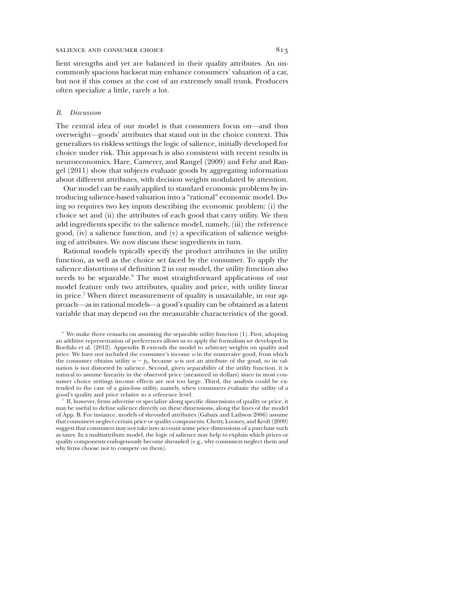lient strengths and yet are balanced in their quality attributes. An uncommonly spacious backseat may enhance consumers' valuation of a car, but not if this comes at the cost of an extremely small trunk. Producers often specialize a little, rarely a lot.

# B. Discussion

The central idea of our model is that consumers focus on—and thus overweight—goods' attributes that stand out in the choice context. This generalizes to riskless settings the logic of salience, initially developed for choice under risk. This approach is also consistent with recent results in neuroeconomics. Hare, Camerer, and Rangel (2009) and Fehr and Rangel  $(2011)$  show that subjects evaluate goods by aggregating information about different attributes, with decision weights modulated by attention.

Our model can be easily applied to standard economic problems by introducing salience-based valuation into a "rational" economic model. Doing so requires two key inputs describing the economic problem: (i) the choice set and (ii) the attributes of each good that carry utility. We then add ingredients specific to the salience model, namely, (iii) the reference good,  $(iv)$  a salience function, and  $(v)$  a specification of salience weighting of attributes. We now discuss these ingredients in turn.

Rational models typically specify the product attributes in the utility function, as well as the choice set faced by the consumer. To apply the salience distortions of definition 2 in our model, the utility function also needs to be separable.<sup>6</sup> The most straightforward applications of our model feature only two attributes, quality and price, with utility linear in price.<sup>7</sup> When direct measurement of quality is unavailable, in our approach—as in rational models—a good's quality can be obtained as a latent variable that may depend on the measurable characteristics of the good.

 $6\,$  We make three remarks on assuming the separable utility function (1). First, adopting an additive representation of preferences allows us to apply the formalism we developed in Bordalo et al. (2012). Appendix B extends the model to arbitrary weights on quality and price. We have not included the consumer's income  $w$  in the numeraire good, from which the consumer obtains utility  $w - p_k$ , because w is not an attribute of the good, so its valuation is not distorted by salience. Second, given separability of the utility function, it is natural to assume linearity in the observed price (measured in dollars) since in most consumer choice settings income effects are not too large. Third, the analysis could be extended to the case of a gain-loss utility, namely, when consumers evaluate the utility of a good's quality and price relative to a reference level.

<sup>7</sup> If, however, firms advertise or specialize along specific dimensions of quality or price, it may be useful to define salience directly on these dimensions, along the lines of the model of App. B. For instance, models of shrouded attributes (Gabaix and Laibson 2006) assume that consumers neglect certain price or quality components. Chetty, Looney, and Kroft (2009) suggest that consumers may not take into account some price dimensions of a purchase such as taxes. In a multiattribute model, the logic of salience may help to explain which prices or quality components endogenously become shrouded (e.g., why consumers neglect them and why firms choose not to compete on them).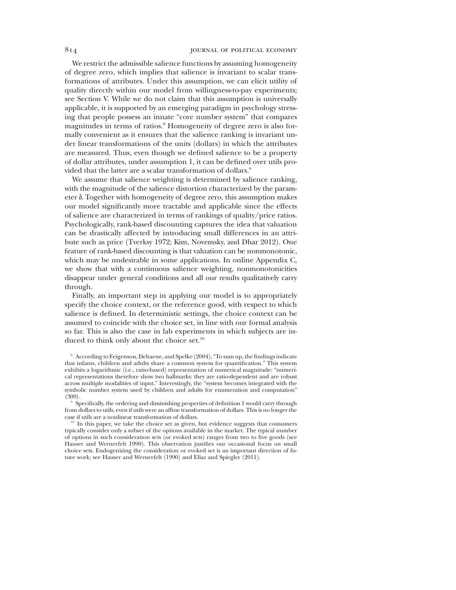# 814 **journal of political economy**

We restrict the admissible salience functions by assuming homogeneity of degree zero, which implies that salience is invariant to scalar transformations of attributes. Under this assumption, we can elicit utility of quality directly within our model from willingness-to-pay experiments; see Section V. While we do not claim that this assumption is universally applicable, it is supported by an emerging paradigm in psychology stressing that people possess an innate "core number system" that compares magnitudes in terms of ratios.<sup>8</sup> Homogeneity of degree zero is also formally convenient as it ensures that the salience ranking is invariant under linear transformations of the units (dollars) in which the attributes are measured. Thus, even though we defined salience to be a property of dollar attributes, under assumption 1, it can be defined over utils provided that the latter are a scalar transformation of dollars.<sup>9</sup>

We assume that salience weighting is determined by salience ranking, with the magnitude of the salience distortion characterized by the parameter  $\delta$ . Together with homogeneity of degree zero, this assumption makes our model significantly more tractable and applicable since the effects of salience are characterized in terms of rankings of quality/price ratios. Psychologically, rank-based discounting captures the idea that valuation can be drastically affected by introducing small differences in an attribute such as price (Tverksy 1972; Kim, Novemsky, and Dhar 2012). One feature of rank-based discounting is that valuation can be nonmonotonic, which may be undesirable in some applications. In online Appendix C, we show that with a continuous salience weighting, nonmonotonicities disappear under general conditions and all our results qualitatively carry through.

Finally, an important step in applying our model is to appropriately specify the choice context, or the reference good, with respect to which salience is defined. In deterministic settings, the choice context can be assumed to coincide with the choice set, in line with our formal analysis so far. This is also the case in lab experiments in which subjects are induced to think only about the choice set.<sup>10</sup>

 $8$  According to Feigenson, Dehaene, and Spelke  $(2004)$ , "To sum up, the findings indicate that infants, children and adults share a common system for quantification." This system exhibits a logarithmic (i.e., ratio-based) representation of numerical magnitude: "numerical representations therefore show two hallmarks: they are ratio-dependent and are robust across multiple modalities of input." Interestingly, the "system becomes integrated with the symbolic number system used by children and adults for enumeration and computation" (309).

<sup>9</sup> Specifically, the ordering and diminishing properties of definition 1 would carry through from dollars to utils, even if utils were an affine transformation of dollars. This is no longer the case if utils are a nonlinear transformation of dollars.

<sup>&</sup>lt;sup>10</sup> In this paper, we take the choice set as given, but evidence suggests that consumers typically consider only a subset of the options available in the market. The typical number of options in such consideration sets (or evoked sets) ranges from two to five goods (see Hauser and Wernerfelt 1990). This observation justifies our occasional focus on small choice sets. Endogenizing the consideration or evoked set is an important direction of future work; see Hauser and Wernerfelt (1990) and Eliaz and Spiegler (2011).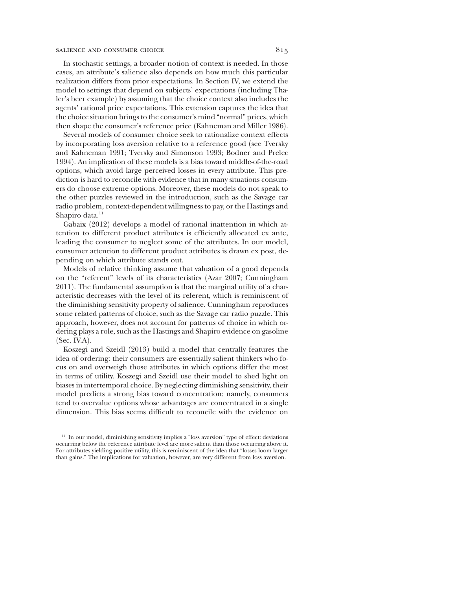#### salience and consumer choice 815

In stochastic settings, a broader notion of context is needed. In those cases, an attribute's salience also depends on how much this particular realization differs from prior expectations. In Section IV, we extend the model to settings that depend on subjects' expectations (including Thaler's beer example) by assuming that the choice context also includes the agents' rational price expectations. This extension captures the idea that the choice situation brings to the consumer's mind "normal" prices, which then shape the consumer's reference price (Kahneman and Miller 1986).

Several models of consumer choice seek to rationalize context effects by incorporating loss aversion relative to a reference good (see Tversky and Kahneman 1991; Tversky and Simonson 1993; Bodner and Prelec 1994). An implication of these models is a bias toward middle-of-the-road options, which avoid large perceived losses in every attribute. This prediction is hard to reconcile with evidence that in many situations consumers do choose extreme options. Moreover, these models do not speak to the other puzzles reviewed in the introduction, such as the Savage car radio problem, context-dependent willingness to pay, or the Hastings and Shapiro data.<sup>11</sup>

Gabaix  $(2012)$  develops a model of rational inattention in which attention to different product attributes is efficiently allocated ex ante, leading the consumer to neglect some of the attributes. In our model, consumer attention to different product attributes is drawn ex post, depending on which attribute stands out.

Models of relative thinking assume that valuation of a good depends on the "referent" levels of its characteristics (Azar 2007; Cunningham 2011). The fundamental assumption is that the marginal utility of a characteristic decreases with the level of its referent, which is reminiscent of the diminishing sensitivity property of salience. Cunningham reproduces some related patterns of choice, such as the Savage car radio puzzle. This approach, however, does not account for patterns of choice in which ordering plays a role, such as the Hastings and Shapiro evidence on gasoline  $(Sec. IV.A).$ 

Koszegi and Szeidl (2013) build a model that centrally features the idea of ordering: their consumers are essentially salient thinkers who focus on and overweigh those attributes in which options differ the most in terms of utility. Koszegi and Szeidl use their model to shed light on biases in intertemporal choice. By neglecting diminishing sensitivity, their model predicts a strong bias toward concentration; namely, consumers tend to overvalue options whose advantages are concentrated in a single dimension. This bias seems difficult to reconcile with the evidence on

<sup>&</sup>lt;sup>11</sup> In our model, diminishing sensitivity implies a "loss aversion" type of effect: deviations occurring below the reference attribute level are more salient than those occurring above it. For attributes yielding positive utility, this is reminiscent of the idea that "losses loom larger than gains." The implications for valuation, however, are very different from loss aversion.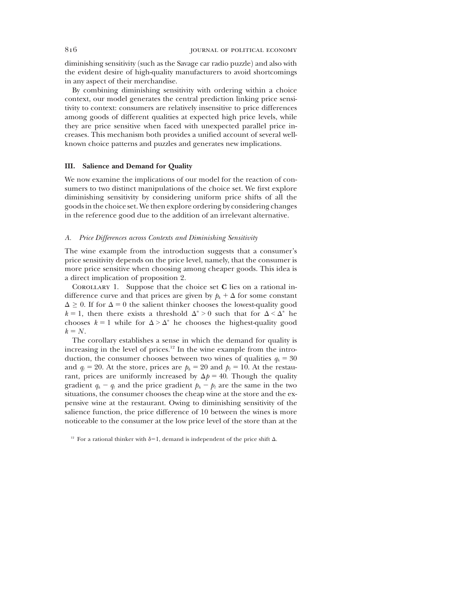diminishing sensitivity (such as the Savage car radio puzzle) and also with the evident desire of high-quality manufacturers to avoid shortcomings in any aspect of their merchandise.

By combining diminishing sensitivity with ordering within a choice context, our model generates the central prediction linking price sensitivity to context: consumers are relatively insensitive to price differences among goods of different qualities at expected high price levels, while they are price sensitive when faced with unexpected parallel price increases. This mechanism both provides a unified account of several wellknown choice patterns and puzzles and generates new implications.

# III. Salience and Demand for Quality

We now examine the implications of our model for the reaction of consumers to two distinct manipulations of the choice set. We first explore diminishing sensitivity by considering uniform price shifts of all the goods in the choice set. We then explore ordering by considering changes in the reference good due to the addition of an irrelevant alternative.

# A. Price Differences across Contexts and Diminishing Sensitivity

The wine example from the introduction suggests that a consumer's price sensitivity depends on the price level, namely, that the consumer is more price sensitive when choosing among cheaper goods. This idea is a direct implication of proposition 2.

COROLLARY 1. Suppose that the choice set  $C$  lies on a rational indifference curve and that prices are given by  $p_k + \Delta$  for some constant  $\Delta \geq 0$ . If for  $\Delta = 0$  the salient thinker chooses the lowest-quality good  $k = 1$ , then there exists a threshold  $\Delta^* > 0$  such that for  $\Delta < \Delta^*$  he chooses  $k = 1$  while for  $\Delta > \Delta^*$  he chooses the highest-quality good  $k = N$ .

The corollary establishes a sense in which the demand for quality is increasing in the level of prices.<sup>12</sup> In the wine example from the introduction, the consumer chooses between two wines of qualities  $q_h = 30$ and  $q_l = 20$ . At the store, prices are  $p_h = 20$  and  $p_l = 10$ . At the restaurant, prices are uniformly increased by  $\Delta p = 40$ . Though the quality gradient  $q_h - q_l$  and the price gradient  $p_h - p_l$  are the same in the two situations, the consumer chooses the cheap wine at the store and the expensive wine at the restaurant. Owing to diminishing sensitivity of the salience function, the price difference of 10 between the wines is more noticeable to the consumer at the low price level of the store than at the

<sup>&</sup>lt;sup>12</sup> For a rational thinker with  $\delta=1$ , demand is independent of the price shift  $\Delta$ .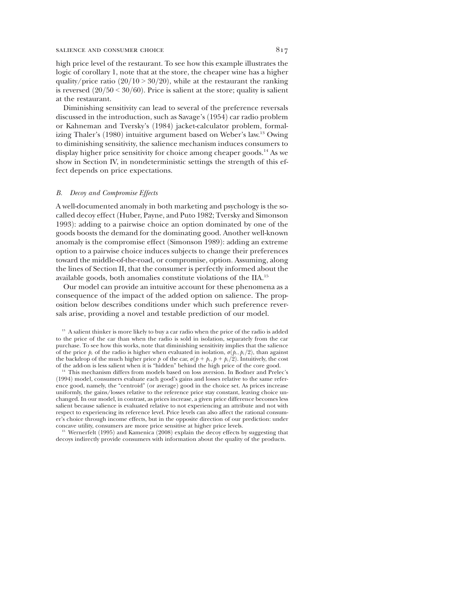high price level of the restaurant. To see how this example illustrates the logic of corollary 1, note that at the store, the cheaper wine has a higher quality/price ratio  $(20/10 > 30/20)$ , while at the restaurant the ranking is reversed  $(20/50 < 30/60)$ . Price is salient at the store; quality is salient at the restaurant.

Diminishing sensitivity can lead to several of the preference reversals discussed in the introduction, such as Savage's (1954) car radio problem or Kahneman and Tversky's (1984) jacket-calculator problem, formalizing Thaler's (1980) intuitive argument based on Weber's law.<sup>13</sup> Owing to diminishing sensitivity, the salience mechanism induces consumers to display higher price sensitivity for choice among cheaper goods.<sup>14</sup> As we show in Section IV, in nondeterministic settings the strength of this effect depends on price expectations.

# B. Decoy and Compromise Effects

A well-documented anomaly in both marketing and psychology is the socalled decoy effect (Huber, Payne, and Puto 1982; Tversky and Simonson 1993): adding to a pairwise choice an option dominated by one of the goods boosts the demand for the dominating good. Another well-known anomaly is the compromise effect (Simonson 1989): adding an extreme option to a pairwise choice induces subjects to change their preferences toward the middle-of-the-road, or compromise, option. Assuming, along the lines of Section II, that the consumer is perfectly informed about the available goods, both anomalies constitute violations of the IIA.<sup>15</sup>

Our model can provide an intuitive account for these phenomena as a consequence of the impact of the added option on salience. The proposition below describes conditions under which such preference reversals arise, providing a novel and testable prediction of our model.

Wernerfelt (1995) and Kamenica (2008) explain the decoy effects by suggesting that decoys indirectly provide consumers with information about the quality of the products.

<sup>&</sup>lt;sup>13</sup> A salient thinker is more likely to buy a car radio when the price of the radio is added to the price of the car than when the radio is sold in isolation, separately from the car purchase. To see how this works, note that diminishing sensitivity implies that the salience of the price  $p_r$  of the radio is higher when evaluated in isolation,  $\sigma(p_r, p_r/2)$ , than against the backdrop of the much higher price  $p$  of the car,  $\sigma(p + p_r, p + p_r/2)$ . Intuitively, the cost of the add-on is less salient when it is "hidden" behind the high price of the core good.

<sup>14</sup> This mechanism differs from models based on loss aversion. In Bodner and Prelec's ð1994Þ model, consumers evaluate each good's gains and losses relative to the same reference good, namely, the "centroid" (or average) good in the choice set. As prices increase uniformly, the gains/losses relative to the reference price stay constant, leaving choice unchanged. In our model, in contrast, as prices increase, a given price difference becomes less salient because salience is evaluated relative to not experiencing an attribute and not with respect to experiencing its reference level. Price levels can also affect the rational consumer's choice through income effects, but in the opposite direction of our prediction: under concave utility, consumers are more price sensitive at higher price levels.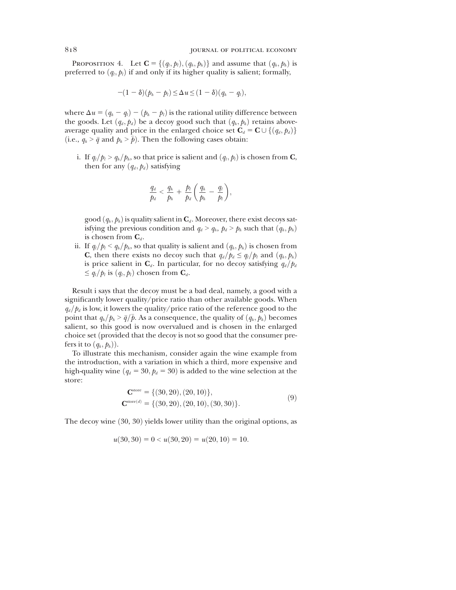PROPOSITION 4. Let  $\mathbf{C} = \{(q_i, p_i), (q_h, p_h)\}\$  and assume that  $(q_h, p_h)$  is preferred to  $(q_l, p_l)$  if and only if its higher quality is salient; formally,

$$
-(1-\delta)(p_h-p_l)\leq \Delta u \leq (1-\delta)(q_h-q_l),
$$

where  $\Delta u = (q_h - q_l) - (p_h - p_l)$  is the rational utility difference between the goods. Let  $(q_a, p_a)$  be a decoy good such that  $(q_h, p_h)$  retains aboveaverage quality and price in the enlarged choice set  $\mathbf{C}_d = \mathbf{C} \cup \{ (q_d, p_d) \}$ (i.e.,  $\ddot{q}_h > \overline{\dot{q}}$  and  $\dot{p}_h > \overline{\dot{p}}$ ). Then the following cases obtain:

i. If  $q_l/p_l > q_h/p_h$ , so that price is salient and  $(q_l, p_l)$  is chosen from **C**, then for any  $(q_d, p_d)$  satisfying

$$
\frac{q_d}{p_d} < \frac{q_h}{p_h} + \frac{p_l}{p_d} \bigg( \frac{q_h}{p_h} - \frac{q_l}{p_l} \bigg),
$$

good  $(q_h, p_h)$  is quality salient in  $\mathbf{C}_d$ . Moreover, there exist decoys satisfying the previous condition and  $q_d > q_h$ ,  $p_d > p_h$  such that  $(q_h, p_h)$ is chosen from  $C_d$ .

ii. If  $q_l/p_l < q_h/p_h$ , so that quality is salient and  $(q_h, p_h)$  is chosen from **C**, then there exists no decoy such that  $q_d/p_d \leq q_l/p_l$  and  $(q_h, p_h)$ is price salient in  $\mathbf{C}_d$ . In particular, for no decoy satisfying  $q_d / p_d$  $\leq q_l/p_l$  is  $(q_l, p_l)$  chosen from  $\mathbf{C}_d$ .

Result i says that the decoy must be a bad deal, namely, a good with a significantly lower quality/price ratio than other available goods. When  $q_d / p_d$  is low, it lowers the quality/price ratio of the reference good to the point that  $q_h/p_h > \bar{q}/\bar{p}$ . As a consequence, the quality of  $(q_h, p_h)$  becomes salient, so this good is now overvalued and is chosen in the enlarged choice set (provided that the decoy is not so good that the consumer prefers it to  $(q_h, p_h)$ .

To illustrate this mechanism, consider again the wine example from the introduction, with a variation in which a third, more expensive and high-quality wine  $(q_d = 30, p_d = 30)$  is added to the wine selection at the store:

$$
\mathbf{C}^{\text{store}} = \{ (30, 20), (20, 10) \},\
$$
  

$$
\mathbf{C}^{\text{store}(d)} = \{ (30, 20), (20, 10), (30, 30) \}.
$$
 (9)

The decoy wine  $(30, 30)$  yields lower utility than the original options, as

$$
u(30,30) = 0 < u(30,20) = u(20,10) = 10.
$$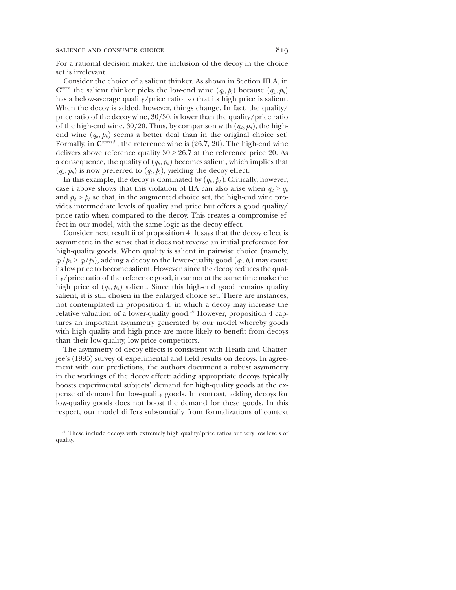For a rational decision maker, the inclusion of the decoy in the choice set is irrelevant.

Consider the choice of a salient thinker. As shown in Section III.A, in C<sup>store</sup> the salient thinker picks the low-end wine  $(q_l, p_l)$  because  $(q_h, p_h)$ has a below-average quality/price ratio, so that its high price is salient. When the decoy is added, however, things change. In fact, the quality/ price ratio of the decoy wine,  $30/30$ , is lower than the quality/price ratio of the high-end wine, 30/20. Thus, by comparison with  $(q_d, p_d)$ , the highend wine  $(q_h, p_h)$  seems a better deal than in the original choice set! Formally, in  $\mathbf{C}^{\text{store}(d)}$ , the reference wine is (26.7, 20). The high-end wine<br>delivers above reference quality  $30 > 96.7$  at the reference price  $90 - 4s$ delivers above reference quality  $30 > 26.7$  at the reference price 20. As a consequence, the quality of  $(q_h, p_h)$  becomes salient, which implies that  $(q_h, p_h)$  is now preferred to  $(q_l, p_l)$ , yielding the decoy effect.

In this example, the decoy is dominated by  $(q_h, p_h)$ . Critically, however, case i above shows that this violation of IIA can also arise when  $q_d > q_h$ and  $p_d > p_h$  so that, in the augmented choice set, the high-end wine provides intermediate levels of quality and price but offers a good quality/ price ratio when compared to the decoy. This creates a compromise effect in our model, with the same logic as the decoy effect.

Consider next result ii of proposition 4. It says that the decoy effect is asymmetric in the sense that it does not reverse an initial preference for high-quality goods. When quality is salient in pairwise choice (namely,  $q_h / p_h > q_l / p_l$ , adding a decoy to the lower-quality good  $(q_l, p_l)$  may cause its low price to become salient. However, since the decoy reduces the quality/price ratio of the reference good, it cannot at the same time make the high price of  $(q_h, p_h)$  salient. Since this high-end good remains quality salient, it is still chosen in the enlarged choice set. There are instances, not contemplated in proposition 4, in which a decoy may increase the relative valuation of a lower-quality good.16 However, proposition 4 captures an important asymmetry generated by our model whereby goods with high quality and high price are more likely to benefit from decoys than their low-quality, low-price competitors.

The asymmetry of decoy effects is consistent with Heath and Chatterjee's (1995) survey of experimental and field results on decoys. In agreement with our predictions, the authors document a robust asymmetry in the workings of the decoy effect: adding appropriate decoys typically boosts experimental subjects' demand for high-quality goods at the expense of demand for low-quality goods. In contrast, adding decoys for low-quality goods does not boost the demand for these goods. In this respect, our model differs substantially from formalizations of context

<sup>16</sup> These include decoys with extremely high quality/price ratios but very low levels of quality.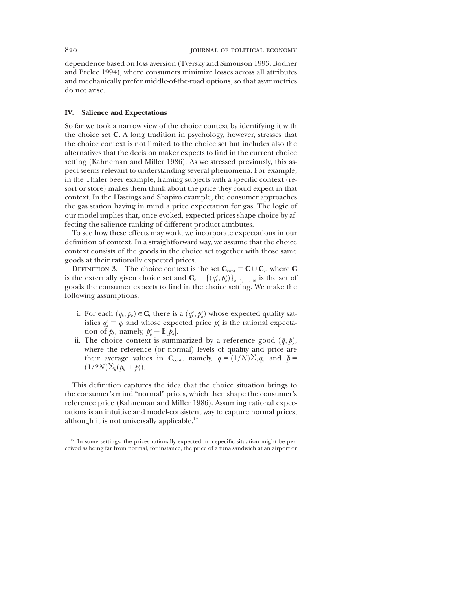dependence based on loss aversion (Tversky and Simonson 1993; Bodner and Prelec 1994), where consumers minimize losses across all attributes and mechanically prefer middle-of-the-road options, so that asymmetries do not arise.

# IV. Salience and Expectations

So far we took a narrow view of the choice context by identifying it with the choice set C. A long tradition in psychology, however, stresses that the choice context is not limited to the choice set but includes also the alternatives that the decision maker expects to find in the current choice setting (Kahneman and Miller 1986). As we stressed previously, this aspect seems relevant to understanding several phenomena. For example, in the Thaler beer example, framing subjects with a specific context (resort or store) makes them think about the price they could expect in that context. In the Hastings and Shapiro example, the consumer approaches the gas station having in mind a price expectation for gas. The logic of our model implies that, once evoked, expected prices shape choice by affecting the salience ranking of different product attributes.

To see how these effects may work, we incorporate expectations in our definition of context. In a straightforward way, we assume that the choice context consists of the goods in the choice set together with those same goods at their rationally expected prices.

DEFINITION 3. The choice context is the set  $\mathbf{C}_{\text{cont}} = \mathbf{C} \cup \mathbf{C}_{e}$ , where  $\mathbf{C}$ is the externally given choice set and  $\mathbf{C}_e = \{ (q_k^e, p_k^e) \}_{k=1,...,N}$  is the set of goods the consumer expects to find in the choice setting. We make the goods the consumer expects to find in the choice setting. We make the following assumptions:

- i. For each  $(q_k, p_k) \in \mathbb{C}$ , there is a  $(q_k^e, p_k^e)$  whose expected quality satisfies  $q_e^e = a$ , and whose expected price  $p_e^e$  is the rational expectaisfies  $q_k^e = q_k$  and whose expected price  $p_k^e$  is the rational expectation of  $p_k$ , namely,  $p_k^e \equiv \mathbb{E}[\hat{p}_k]$ .<br>The choice context is sump
- ii. The choice context is summarized by a reference good  $(\bar{q}, \bar{p})$ , where the reference (or normal) levels of quality and price are where the reference (or normal) levels of quality and price are their average values in  $\mathbf{C}_{\text{cont}}$ , namely,  $\bar{q} = (1/N)\sum_k q_k$  and  $\bar{p} = (1/9N)\sum_k (p_k + p_k^e)$  $(1/2N)\sum_{k}(\tilde{p_{k}}+\tilde{p_{k}}^{e}).$

This definition captures the idea that the choice situation brings to the consumer's mind "normal" prices, which then shape the consumer's reference price (Kahneman and Miller 1986). Assuming rational expectations is an intuitive and model-consistent way to capture normal prices, although it is not universally applicable.<sup>17</sup>

 $17$  In some settings, the prices rationally expected in a specific situation might be perceived as being far from normal, for instance, the price of a tuna sandwich at an airport or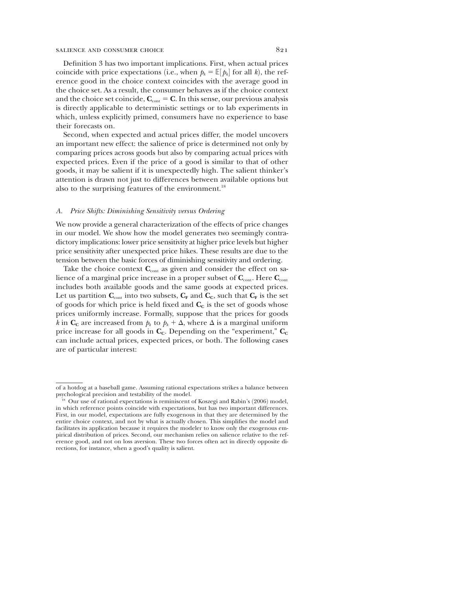Definition 3 has two important implications. First, when actual prices coincide with price expectations (i.e., when  $p_k = \mathbb{E}[\phi_k]$  for all k), the reference good in the choice context coincides with the average good in the choice set. As a result, the consumer behaves as if the choice context and the choice set coincide,  $C_{\text{cont}} = C$ . In this sense, our previous analysis is directly applicable to deterministic settings or to lab experiments in which, unless explicitly primed, consumers have no experience to base their forecasts on.

Second, when expected and actual prices differ, the model uncovers an important new effect: the salience of price is determined not only by comparing prices across goods but also by comparing actual prices with expected prices. Even if the price of a good is similar to that of other goods, it may be salient if it is unexpectedly high. The salient thinker's attention is drawn not just to differences between available options but also to the surprising features of the environment.<sup>18</sup>

# A. Price Shifts: Diminishing Sensitivity versus Ordering

We now provide a general characterization of the effects of price changes in our model. We show how the model generates two seemingly contradictory implications: lower price sensitivity at higher price levels but higher price sensitivity after unexpected price hikes. These results are due to the tension between the basic forces of diminishing sensitivity and ordering.

Take the choice context  $C_{\text{cont}}$  as given and consider the effect on salience of a marginal price increase in a proper subset of  $C_{\text{cont}}$ . Here  $C_{\text{cont}}$ includes both available goods and the same goods at expected prices. Let us partition  $C_{\text{cont}}$  into two subsets,  $C_{\text{F}}$  and  $C_{\text{C}}$ , such that  $C_{\text{F}}$  is the set of goods for which price is held fixed and  $C_c$  is the set of goods whose prices uniformly increase. Formally, suppose that the prices for goods k in  $C_c$  are increased from  $p_k$  to  $p_k + \Delta$ , where  $\Delta$  is a marginal uniform price increase for all goods in  $C_c$ . Depending on the "experiment,"  $C_c$ can include actual prices, expected prices, or both. The following cases are of particular interest:

of a hotdog at a baseball game. Assuming rational expectations strikes a balance between psychological precision and testability of the model.

<sup>&</sup>lt;sup>18</sup> Our use of rational expectations is reminiscent of Koszegi and Rabin's (2006) model, in which reference points coincide with expectations, but has two important differences. First, in our model, expectations are fully exogenous in that they are determined by the entire choice context, and not by what is actually chosen. This simplifies the model and facilitates its application because it requires the modeler to know only the exogenous empirical distribution of prices. Second, our mechanism relies on salience relative to the reference good, and not on loss aversion. These two forces often act in directly opposite directions, for instance, when a good's quality is salient.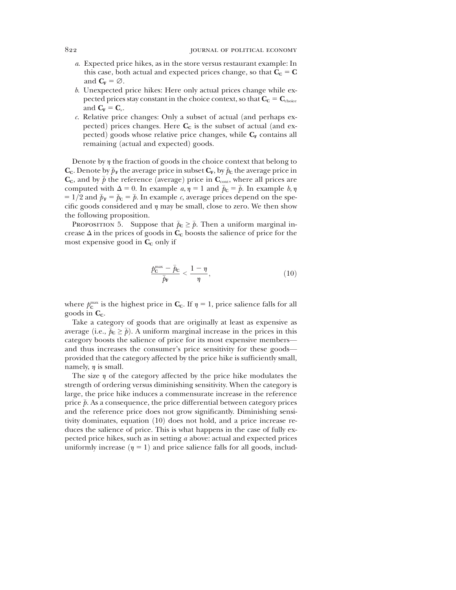- a. Expected price hikes, as in the store versus restaurant example: In this case, both actual and expected prices change, so that  $C_C = C$ and  $C_F = \emptyset$ .
- b. Unexpected price hikes: Here only actual prices change while expected prices stay constant in the choice context, so that  $C_C = C_{choice}$ and  $\mathbf{C}_{\mathbf{F}} = \mathbf{C}_{e}$ .
- $c$ . Relative price changes: Only a subset of actual (and perhaps expected) prices changes. Here  $C_c$  is the subset of actual (and expected) goods whose relative price changes, while  $C_F$  contains all remaining (actual and expected) goods.

Denote by  $\eta$  the fraction of goods in the choice context that belong to  $\mathbf{C}_{c}$ . Denote by  $\bar{p}_{F}$  the average price in subset  $\mathbf{C}_{F}$ , by  $\bar{p}_{c}$  the average price in  $\mathbf{C}_{\mathbf{C}}$ , and by  $\bar{p}$  the reference (average) price in  $\mathbf{C}_{\text{cont}}$ , where all prices are computed with  $\Lambda = 0$ . In example  $a, n = 1$  and  $\bar{h} = \bar{h}$ . In example  $h, n$ computed with  $\Delta = 0$ . In example  $a, \eta = 1$  and  $\bar{p}_c = \bar{p}$ . In example  $b, \eta$ = 1/2 and  $\bar{p}_F = \bar{p}_c = \bar{p}$ . In example c, average prices depend on the specific goods considered and  $\eta$  may be small, close to zero. We then show the following proposition.

PROPOSITION 5. Suppose that  $\bar{p}_c \geq \bar{p}$ . Then a uniform marginal increase  $\Delta$  in the prices of goods in  $C_c$  boosts the salience of price for the most expensive good in  $C_c$  only if

$$
\frac{\underline{p}_{\mathbf{c}}^{\max} - \bar{p}_{\mathbf{c}}}{\bar{p}_{\mathbf{F}}} < \frac{1 - \eta}{\eta},\tag{10}
$$

where  $p_{\text{C}}^{\max}$  is the highest price in  $\mathbf{C}_{\text{C}}$ . If  $\eta = 1$ , price salience falls for all goods in  $C_c$ .

Take a category of goods that are originally at least as expensive as average (i.e.,  $\bar{p}_c \geq \bar{p}$ ). A uniform marginal increase in the prices in this category boosts the salience of price for its most expensive members and thus increases the consumer's price sensitivity for these goods provided that the category affected by the price hike is sufficiently small, namely,  $\eta$  is small.

The size  $\eta$  of the category affected by the price hike modulates the strength of ordering versus diminishing sensitivity. When the category is large, the price hike induces a commensurate increase in the reference price  $\bar{p}$ . As a consequence, the price differential between category prices and the reference price does not grow significantly. Diminishing sensitivity dominates, equation  $(10)$  does not hold, and a price increase reduces the salience of price. This is what happens in the case of fully expected price hikes, such as in setting a above: actual and expected prices uniformly increase  $(\eta = 1)$  and price salience falls for all goods, includ-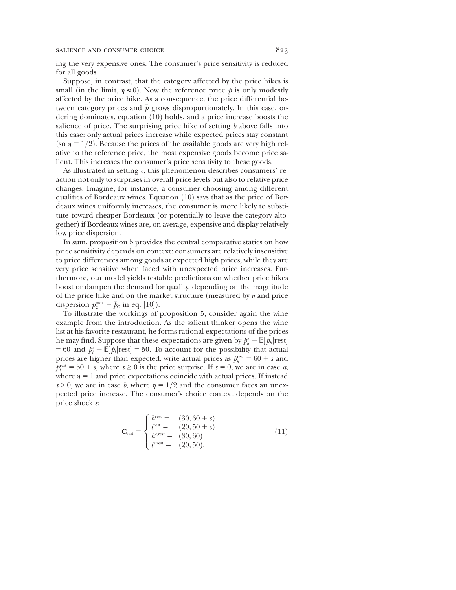ing the very expensive ones. The consumer's price sensitivity is reduced for all goods.

Suppose, in contrast, that the category affected by the price hikes is small (in the limit,  $\eta \approx 0$ ). Now the reference price  $\bar{p}$  is only modestly affected by the price hike As a consequence, the price differential beaffected by the price hike. As a consequence, the price differential between category prices and  $\bar{p}$  grows disproportionately. In this case, ordering dominates, equation  $(10)$  holds, and a price increase boosts the salience of price. The surprising price hike of setting  $b$  above falls into this case: only actual prices increase while expected prices stay constant (so  $\eta = 1/2$ ). Because the prices of the available goods are very high relative to the reference price, the most expensive goods become price salient. This increases the consumer's price sensitivity to these goods.

As illustrated in setting  $c$ , this phenomenon describes consumers' reaction not only to surprises in overall price levels but also to relative price changes. Imagine, for instance, a consumer choosing among different qualities of Bordeaux wines. Equation  $(10)$  says that as the price of Bordeaux wines uniformly increases, the consumer is more likely to substitute toward cheaper Bordeaux (or potentially to leave the category altogether) if Bordeaux wines are, on average, expensive and display relatively low price dispersion.

In sum, proposition 5 provides the central comparative statics on how price sensitivity depends on context: consumers are relatively insensitive to price differences among goods at expected high prices, while they are very price sensitive when faced with unexpected price increases. Furthermore, our model yields testable predictions on whether price hikes boost or dampen the demand for quality, depending on the magnitude of the price hike and on the market structure (measured by  $\eta$  and price dispersion  $p_{\rm c}^{\rm max} - \bar{p}_{\rm c}$  in eq. [10]).<br>To illustrate the workings of

To illustrate the workings of proposition 5, consider again the wine example from the introduction. As the salient thinker opens the wine list at his favorite restaurant, he forms rational expectations of the prices he may find. Suppose that these expectations are given by  $p_k^e \equiv \mathbb{E}[\hat{p}_h | \text{rest}]$ <br>= 60 and  $p_k^e = \mathbb{E}[h | \text{rest}] = 50$ . To account for the possibility that actual = 60 and  $p_i^e \equiv \mathbb{E}[\hat{p}_i|\text{rest}] = 50$ . To account for the possibility that actual<br>prices are higher than expected write actual prices as  $F^{\text{cst}} = 60 + \epsilon$  and prices are higher than expected, write actual prices as  $p_k^{\text{rest}} = 60 + s$  and  $p_t^{\text{rest}} = 50 + s$ , where  $s \ge 0$  is the price surprise. If  $s = 0$ , we are in case a, where  $\eta = 1$  and price expectations coincide with actual prices. If instead s > 0, we are in case b, where  $\eta = 1/2$  and the consumer faces an unexpected price increase. The consumer's choice context depends on the price shock s:

$$
\mathbf{C}_{\text{rest}} = \begin{cases} h^{\text{rest}} = & (30, 60 + s) \\ l^{\text{rest}} = & (20, 50 + s) \\ h^{\text{e,rest}} = & (30, 60) \\ l^{\text{e,rest}} = & (20, 50). \end{cases}
$$
(11)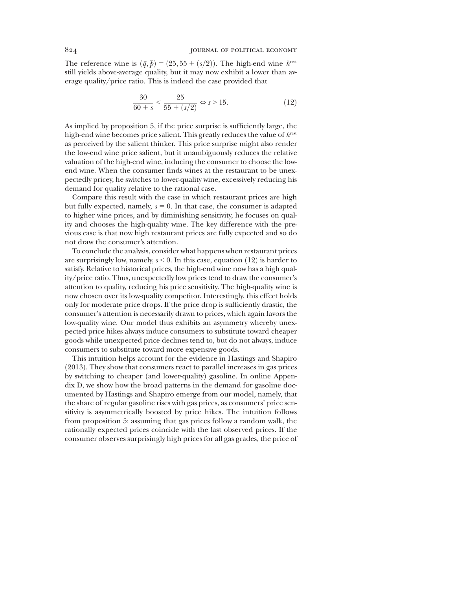The reference wine is  $(\bar{q}, \bar{p}) = (25, 55 + (s/2))$ . The high-end wine h<sup>rest</sup> still vields above-average quality but it may now exhibit a lower than as still yields above-average quality, but it may now exhibit a lower than average quality/price ratio. This is indeed the case provided that

$$
\frac{30}{60+s} < \frac{25}{55 + (s/2)} \Leftrightarrow s > 15. \tag{12}
$$

As implied by proposition 5, if the price surprise is sufficiently large, the high-end wine becomes price salient. This greatly reduces the value of  $h^{\text{rest}}$ as perceived by the salient thinker. This price surprise might also render the low-end wine price salient, but it unambiguously reduces the relative valuation of the high-end wine, inducing the consumer to choose the lowend wine. When the consumer finds wines at the restaurant to be unexpectedly pricey, he switches to lower-quality wine, excessively reducing his demand for quality relative to the rational case.

Compare this result with the case in which restaurant prices are high but fully expected, namely,  $s = 0$ . In that case, the consumer is adapted to higher wine prices, and by diminishing sensitivity, he focuses on quality and chooses the high-quality wine. The key difference with the previous case is that now high restaurant prices are fully expected and so do not draw the consumer's attention.

To conclude the analysis, consider what happens when restaurant prices are surprisingly low, namely,  $s < 0$ . In this case, equation (12) is harder to satisfy. Relative to historical prices, the high-end wine now has a high quality/price ratio. Thus, unexpectedly low prices tend to draw the consumer's attention to quality, reducing his price sensitivity. The high-quality wine is now chosen over its low-quality competitor. Interestingly, this effect holds only for moderate price drops. If the price drop is sufficiently drastic, the consumer's attention is necessarily drawn to prices, which again favors the low-quality wine. Our model thus exhibits an asymmetry whereby unexpected price hikes always induce consumers to substitute toward cheaper goods while unexpected price declines tend to, but do not always, induce consumers to substitute toward more expensive goods.

This intuition helps account for the evidence in Hastings and Shapiro  $(2013)$ . They show that consumers react to parallel increases in gas prices by switching to cheaper (and lower-quality) gasoline. In online Appendix D, we show how the broad patterns in the demand for gasoline documented by Hastings and Shapiro emerge from our model, namely, that the share of regular gasoline rises with gas prices, as consumers' price sensitivity is asymmetrically boosted by price hikes. The intuition follows from proposition 5: assuming that gas prices follow a random walk, the rationally expected prices coincide with the last observed prices. If the consumer observes surprisingly high prices for all gas grades, the price of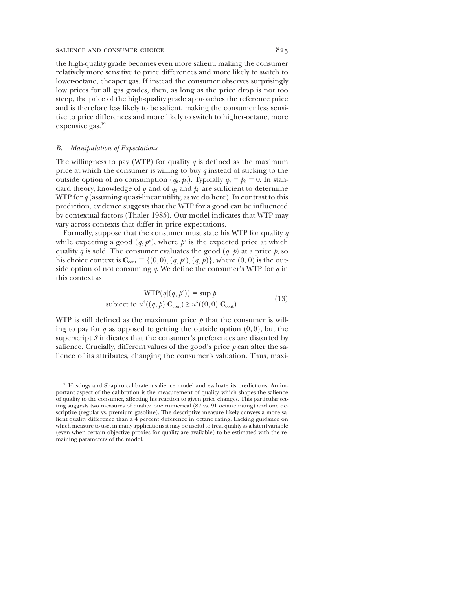the high-quality grade becomes even more salient, making the consumer relatively more sensitive to price differences and more likely to switch to lower-octane, cheaper gas. If instead the consumer observes surprisingly low prices for all gas grades, then, as long as the price drop is not too steep, the price of the high-quality grade approaches the reference price and is therefore less likely to be salient, making the consumer less sensitive to price differences and more likely to switch to higher-octane, more expensive gas.<sup>19</sup>

# B. Manipulation of Expectations

The willingness to pay (WTP) for quality  $q$  is defined as the maximum price at which the consumer is willing to buy  $q$  instead of sticking to the outside option of no consumption  $(q_0, p_0)$ . Typically  $q_0 = p_0 = 0$ . In standard theory, knowledge of q and of  $q_0$  and  $p_0$  are sufficient to determine WTP for  $q$  (assuming quasi-linear utility, as we do here). In contrast to this prediction, evidence suggests that the WTP for a good can be influenced by contextual factors (Thaler 1985). Our model indicates that WTP may vary across contexts that differ in price expectations.

Formally, suppose that the consumer must state his WTP for quality  $q$ while expecting a good  $(q, p^e)$ , where  $p^e$  is the expected price at which quality a is sold. The consumer evaluates the good  $(a, b)$  at a price h so quality q is sold. The consumer evaluates the good  $(q, p)$  at a price p, so his choice context is  $\mathbf{C}_{\text{cont}} \equiv \{(0,0), (q, p^e), (q, p)\}\,$ , where  $(0, 0)$  is the out-<br>side option of not consuming a We define the consumer's WTP for a in side option of not consuming  $q$ . We define the consumer's WTP for  $q$  in this context as

$$
\text{WTP}(q|(q, p^e)) = \sup p
$$
  
subject to  $u^s((q, p)|\mathbf{C}_{\text{cont}}) \ge u^s((0, 0)|\mathbf{C}_{\text{cont}}).$  (13)

WTP is still defined as the maximum price  $\hat{p}$  that the consumer is willing to pay for q as opposed to getting the outside option  $(0, 0)$ , but the superscript S indicates that the consumer's preferences are distorted by salience. Crucially, different values of the good's price  $p$  can alter the salience of its attributes, changing the consumer's valuation. Thus, maxi-

<sup>&</sup>lt;sup>19</sup> Hastings and Shapiro calibrate a salience model and evaluate its predictions. An important aspect of the calibration is the measurement of quality, which shapes the salience of quality to the consumer, affecting his reaction to given price changes. This particular setting suggests two measures of quality, one numerical (87 vs. 91 octane rating) and one descriptive (regular vs. premium gasoline). The descriptive measure likely conveys a more salient quality difference than a 4 percent difference in octane rating. Lacking guidance on which measure to use, in many applications it may be useful to treat quality as a latent variable (even when certain objective proxies for quality are available) to be estimated with the remaining parameters of the model.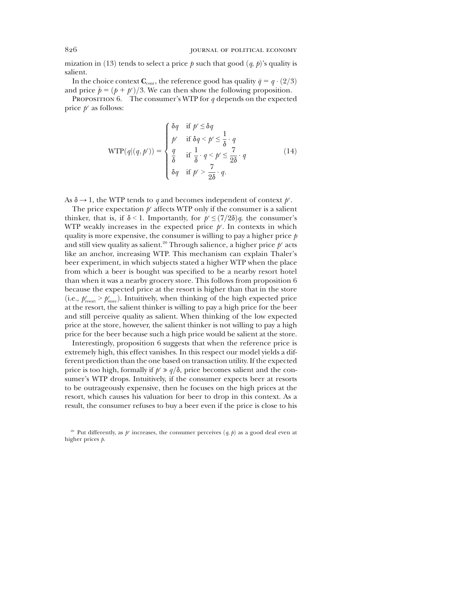mization in (13) tends to select a price p such that good  $(q, p)$ 's quality is salient.

In the choice context  $\mathbf{C}_{\text{cont}}$ , the reference good has quality  $\bar{q} = q \cdot (2/3)$ <br>d price  $\bar{h} = (h + h^{\epsilon})/3$ . We can then show the following proposition and price  $\bar{p} = (p + p^2)/3$ . We can then show the following proposition.<br>Proposition 6. The consumer's WTP for a depends on the expecte

PROPOSITION 6. The consumer's WTP for  $q$  depends on the expected price  $p^e$  as follows:

$$
\text{WTP}(q|(q, p^e)) = \begin{cases} \n\delta q & \text{if } p^e \leq \delta q \\ \np^e & \text{if } \delta q < p^e \leq \frac{1}{\delta} \cdot q \\ \n\frac{q}{\delta} & \text{if } \frac{1}{\delta} \cdot q < p^e \leq \frac{7}{2\delta} \cdot q \\ \n\delta q & \text{if } p^e > \frac{7}{2\delta} \cdot q. \n\end{cases} \tag{14}
$$

As  $\delta \rightarrow 1$ , the WTP tends to q and becomes independent of context  $p^e$ .

The price expectation  $p^e$  affects WTP only if the consumer is a salient thinker, that is, if  $\delta$  < 1. Importantly, for  $p \leq (7/2\delta)q$ , the consumer's WTP weakly increases in the expected price  $p^e$ . In contexts in which quality is more expensive, the consumer is willing to pay a higher price  $p$ and still view quality as salient.<sup>20</sup> Through salience, a higher price  $p^e$  acts like an anchor, increasing WTP. This mechanism can explain Thaler's beer experiment, in which subjects stated a higher WTP when the place from which a beer is bought was specified to be a nearby resort hotel than when it was a nearby grocery store. This follows from proposition 6 because the expected price at the resort is higher than that in the store (i.e.,  $p_{\text{resort}}^e > p_{\text{succ}}^e$ ). Intuitively, when thinking of the high expected price at the resort, the salient thinker is willing to pay a high price for the beer and still perceive quality as salient. When thinking of the low expected price at the store, however, the salient thinker is not willing to pay a high price for the beer because such a high price would be salient at the store.

Interestingly, proposition 6 suggests that when the reference price is extremely high, this effect vanishes. In this respect our model yields a different prediction than the one based on transaction utility. If the expected price is too high, formally if  $p^e \gg q/\delta$ , price becomes salient and the consumer's WTP drops. Intuitively, if the consumer expects beer at resorts to be outrageously expensive, then he focuses on the high prices at the resort, which causes his valuation for beer to drop in this context. As a result, the consumer refuses to buy a beer even if the price is close to his

<sup>&</sup>lt;sup>20</sup> Put differently, as  $p^e$  increases, the consumer perceives  $(q, p)$  as a good deal even at higher prices p.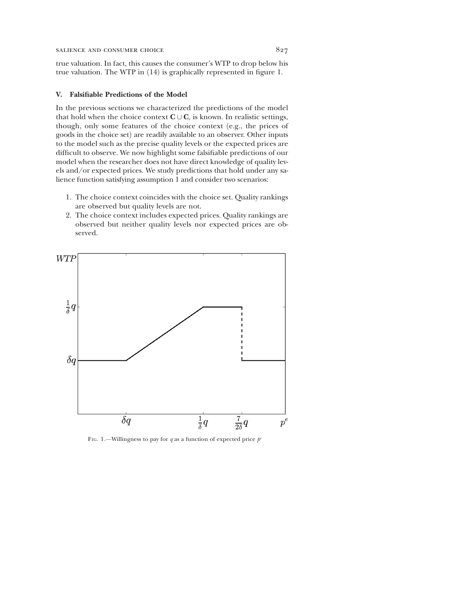true valuation. In fact, this causes the consumer's WTP to drop below his true valuation. The WTP in  $(14)$  is graphically represented in figure 1.

# V. Falsifiable Predictions of the Model

In the previous sections we characterized the predictions of the model that hold when the choice context  $C \cup C_{e}$  is known. In realistic settings, though, only some features of the choice context (e.g., the prices of goods in the choice set) are readily available to an observer. Other inputs to the model such as the precise quality levels or the expected prices are difficult to observe. We now highlight some falsifiable predictions of our model when the researcher does not have direct knowledge of quality levels and/or expected prices. We study predictions that hold under any salience function satisfying assumption 1 and consider two scenarios:

- 1. The choice context coincides with the choice set. Quality rankings are observed but quality levels are not.
- 2. The choice context includes expected prices. Quality rankings are observed but neither quality levels nor expected prices are observed.



FIG. 1.—Willingness to pay for  $q$  as a function of expected price  $p^\epsilon$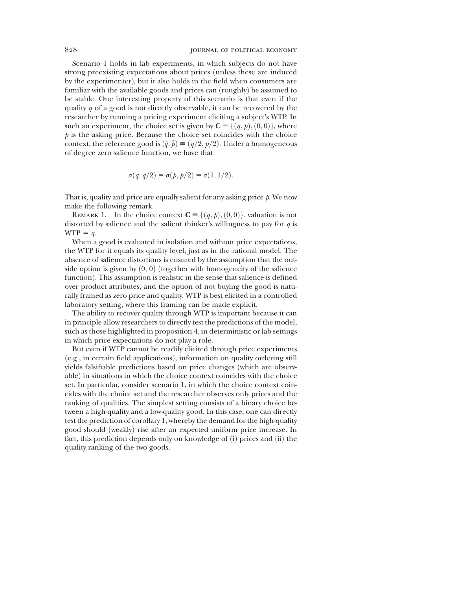Scenario 1 holds in lab experiments, in which subjects do not have strong preexisting expectations about prices (unless these are induced by the experimenter), but it also holds in the field when consumers are familiar with the available goods and prices can (roughly) be assumed to be stable. One interesting property of this scenario is that even if the quality  $q$  of a good is not directly observable, it can be recovered by the researcher by running a pricing experiment eliciting a subject's WTP. In such an experiment, the choice set is given by  $\mathbf{C} \equiv \{(q, p), (0, 0)\}\,$ , where  $p$  is the asking price. Because the choice set coincides with the choice context, the reference good is  $(\bar{q}, \bar{p}) \equiv (q/2, p/2)$ . Under a homogeneous of degree zero salience function, we have that of degree zero salience function, we have that

$$
\sigma(q, q/2) = \sigma(p, p/2) = \sigma(1, 1/2).
$$

That is, quality and price are equally salient for any asking price  $p$ . We now make the following remark.

REMARK 1. In the choice context  $\mathbf{C} \equiv \{(q, p), (0, 0)\}\)$ , valuation is not distorted by salience and the salient thinker's willingness to pay for  $q$  is  $WTP = q$ .

When a good is evaluated in isolation and without price expectations, the WTP for it equals its quality level, just as in the rational model. The absence of salience distortions is ensured by the assumption that the outside option is given by  $(0, 0)$  (together with homogeneity of the salience function). This assumption is realistic in the sense that salience is defined over product attributes, and the option of not buying the good is naturally framed as zero price and quality. WTP is best elicited in a controlled laboratory setting, where this framing can be made explicit.

The ability to recover quality through WTP is important because it can in principle allow researchers to directly test the predictions of the model, such as those highlighted in proposition 4, in deterministic or lab settings in which price expectations do not play a role.

But even if WTP cannot be readily elicited through price experiments (e.g., in certain field applications), information on quality ordering still yields falsifiable predictions based on price changes (which are observable) in situations in which the choice context coincides with the choice set. In particular, consider scenario 1, in which the choice context coincides with the choice set and the researcher observes only prices and the ranking of qualities. The simplest setting consists of a binary choice between a high-quality and a low-quality good. In this case, one can directly test the prediction of corollary 1, whereby the demand for the high-quality good should (weakly) rise after an expected uniform price increase. In fact, this prediction depends only on knowledge of  $(i)$  prices and  $(ii)$  the quality ranking of the two goods.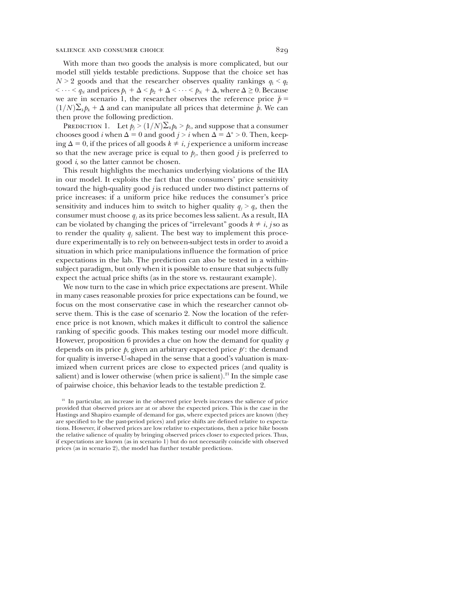With more than two goods the analysis is more complicated, but our model still yields testable predictions. Suppose that the choice set has  $N > 2$  goods and that the researcher observes quality rankings  $q_1 < q_2$  $\langle \cdots \langle q_N \rangle$  and prices  $p_1 + \Delta \langle p_2 + \Delta \langle \cdots \langle p_N + \Delta \rangle$ , where  $\Delta \ge 0$ . Because we are in scenario 1, the researcher observes the reference price  $\bar{p}$  =  $(1/N)\sum_{k} p_k + \Delta$  and can manipulate all prices that determine  $\bar{p}$ . We can then prove the following prediction then prove the following prediction.

PREDICTION 1. Let  $p_i > (1/N)\sum_k p_k > p_i$ , and suppose that a consumer chooses good *i* when  $\Delta = 0$  and good *j > i* when  $\Delta = \Delta^*$  > 0. Then, keeping  $\Delta = 0$ , if the prices of all goods  $k \neq i$ , j experience a uniform increase so that the new average price is equal to  $p_i$ , then good j is preferred to good i, so the latter cannot be chosen.

This result highlights the mechanics underlying violations of the IIA in our model. It exploits the fact that the consumers' price sensitivity toward the high-quality good  $j$  is reduced under two distinct patterns of price increases: if a uniform price hike reduces the consumer's price sensitivity and induces him to switch to higher quality  $q_i > q_i$ , then the consumer must choose  $q_i$  as its price becomes less salient. As a result, IIA can be violated by changing the prices of "irrelevant" goods  $k \neq i$ , j so as to render the quality  $q_i$  salient. The best way to implement this procedure experimentally is to rely on between-subject tests in order to avoid a situation in which price manipulations influence the formation of price expectations in the lab. The prediction can also be tested in a withinsubject paradigm, but only when it is possible to ensure that subjects fully expect the actual price shifts (as in the store vs. restaurant example).

We now turn to the case in which price expectations are present. While in many cases reasonable proxies for price expectations can be found, we focus on the most conservative case in which the researcher cannot observe them. This is the case of scenario 2. Now the location of the reference price is not known, which makes it difficult to control the salience ranking of specific goods. This makes testing our model more difficult. However, proposition 6 provides a clue on how the demand for quality  $q$ depends on its price  $p$ , given an arbitrary expected price  $p^e$ : the demand for quality is inverse-U-shaped in the sense that a good's valuation is maximized when current prices are close to expected prices (and quality is salient) and is lower otherwise (when price is salient).<sup>21</sup> In the simple case<br>of pairwise choice, this behavior leads to the testable prediction  $\frac{9}{2}$ of pairwise choice, this behavior leads to the testable prediction 2.

<sup>&</sup>lt;sup>21</sup> In particular, an increase in the observed price levels increases the salience of price provided that observed prices are at or above the expected prices. This is the case in the Hastings and Shapiro example of demand for gas, where expected prices are known (they are specified to be the past-period prices) and price shifts are defined relative to expectations. However, if observed prices are low relative to expectations, then a price hike boosts the relative salience of quality by bringing observed prices closer to expected prices. Thus, if expectations are known (as in scenario 1) but do not necessarily coincide with observed prices (as in scenario 2), the model has further testable predictions.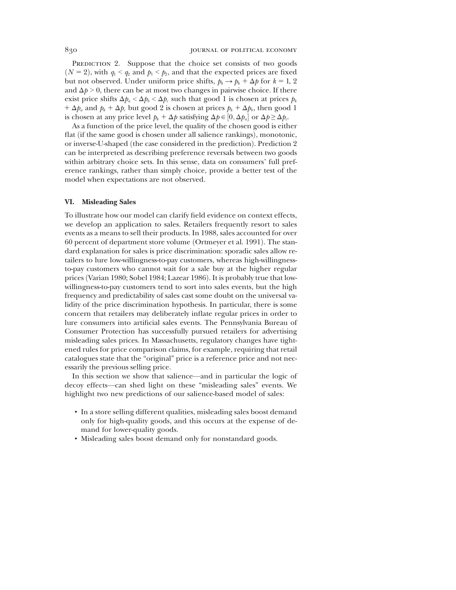PREDICTION 2. Suppose that the choice set consists of two goods  $(N = 2)$ , with  $q_1 < q_2$  and  $p_1 < p_2$ , and that the expected prices are fixed but not observed. Under uniform price shifts,  $p_k \rightarrow p_k + \Delta p$  for  $k = 1, 2$ and  $\Delta p > 0$ , there can be at most two changes in pairwise choice. If there exist price shifts  $\Delta p_a < \Delta p_b < \Delta p_c$  such that good 1 is chosen at prices  $p_k$  $1 + \Delta p_a$  and  $p_k + \Delta p_c$  but good 2 is chosen at prices  $p_k + \Delta p_b$ , then good 1 is chosen at any price level  $p_k + \Delta p$  satisfying  $\Delta p \in (0, \Delta p_a]$  or  $\Delta p \geq \Delta p_c$ .

As a function of the price level, the quality of the chosen good is either flat (if the same good is chosen under all salience rankings), monotonic, or inverse-U-shaped (the case considered in the prediction). Prediction 2 can be interpreted as describing preference reversals between two goods within arbitrary choice sets. In this sense, data on consumers' full preference rankings, rather than simply choice, provide a better test of the model when expectations are not observed.

#### VI. Misleading Sales

To illustrate how our model can clarify field evidence on context effects, we develop an application to sales. Retailers frequently resort to sales events as a means to sell their products. In 1988, sales accounted for over 60 percent of department store volume (Ortmeyer et al. 1991). The standard explanation for sales is price discrimination: sporadic sales allow retailers to lure low-willingness-to-pay customers, whereas high-willingnessto-pay customers who cannot wait for a sale buy at the higher regular prices (Varian 1980; Sobel 1984; Lazear 1986). It is probably true that lowwillingness-to-pay customers tend to sort into sales events, but the high frequency and predictability of sales cast some doubt on the universal validity of the price discrimination hypothesis. In particular, there is some concern that retailers may deliberately inflate regular prices in order to lure consumers into artificial sales events. The Pennsylvania Bureau of Consumer Protection has successfully pursued retailers for advertising misleading sales prices. In Massachusetts, regulatory changes have tightened rules for price comparison claims, for example, requiring that retail catalogues state that the "original" price is a reference price and not necessarily the previous selling price.

In this section we show that salience—and in particular the logic of decoy effects—can shed light on these "misleading sales" events. We highlight two new predictions of our salience-based model of sales:

- In a store selling different qualities, misleading sales boost demand only for high-quality goods, and this occurs at the expense of demand for lower-quality goods.
- Misleading sales boost demand only for nonstandard goods.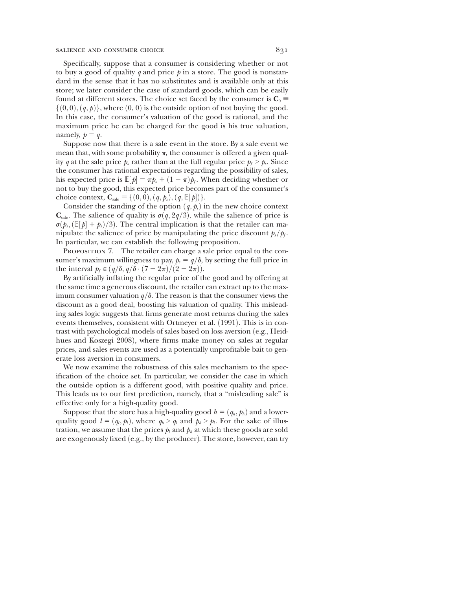Specifically, suppose that a consumer is considering whether or not to buy a good of quality q and price  $\hat{p}$  in a store. The good is nonstandard in the sense that it has no substitutes and is available only at this store; we later consider the case of standard goods, which can be easily found at different stores. The choice set faced by the consumer is  $C_0 \equiv$  $\{(0,0), (q,p)\}\text{, where } (0,0)$  is the outside option of not buying the good. In this case, the consumer's valuation of the good is rational, and the maximum price he can be charged for the good is his true valuation, namely,  $p = q$ .

Suppose now that there is a sale event in the store. By a sale event we mean that, with some probability  $\pi$ , the consumer is offered a given quality q at the sale price  $p_s$  rather than at the full regular price  $p_f > p_s$ . Since the consumer has rational expectations regarding the possibility of sales, his expected price is  $\mathbb{E}[p] = \pi p_s + (1 - \pi)p_f$ . When deciding whether or not to buy the good, this expected price becomes part of the consumer's choice context,  $\mathbf{C}_{\text{safe}} \equiv \{(0,0), (q, p_s), (q, \mathbb{E}|p|)\}.$ 

Consider the standing of the option  $(q, p_s)$  in the new choice context  $\mathbf{C}_{\text{safe}}$ . The salience of quality is  $\sigma(q, 2q/3)$ , while the salience of price is  $\sigma(p_s, (\mathbb{E}[p] + p_s)/3)$ . The central implication is that the retailer can manipulate the salience of price by manipulating the price discount  $p_s/p_f$ . In particular, we can establish the following proposition.

PROPOSITION 7. The retailer can charge a sale price equal to the consumer's maximum willingness to pay,  $p_s = q/\delta$ , by setting the full price in the interval  $p_f \in (q/\delta, q/\delta \cdot (7 - 2\pi)/(2 - 2\pi))$ .<br>By artificially inflating the regular price of the

By artificially inflating the regular price of the good and by offering at the same time a generous discount, the retailer can extract up to the maximum consumer valuation  $q/\delta$ . The reason is that the consumer views the discount as a good deal, boosting his valuation of quality. This misleading sales logic suggests that firms generate most returns during the sales events themselves, consistent with Ortmeyer et al. (1991). This is in contrast with psychological models of sales based on loss aversion (e.g., Heidhues and Koszegi 2008), where firms make money on sales at regular prices, and sales events are used as a potentially unprofitable bait to generate loss aversion in consumers.

We now examine the robustness of this sales mechanism to the specification of the choice set. In particular, we consider the case in which the outside option is a different good, with positive quality and price. This leads us to our first prediction, namely, that a "misleading sale" is effective only for a high-quality good.

Suppose that the store has a high-quality good  $h = (q_h, p_h)$  and a lowerquality good  $l = (q_l, p_l)$ , where  $q_h > q_l$  and  $p_h > p_l$ . For the sake of illustration, we assume that the prices  $p_l$  and  $p_h$  at which these goods are sold are exogenously fixed  $(e.g., by the producer)$ . The store, however, can try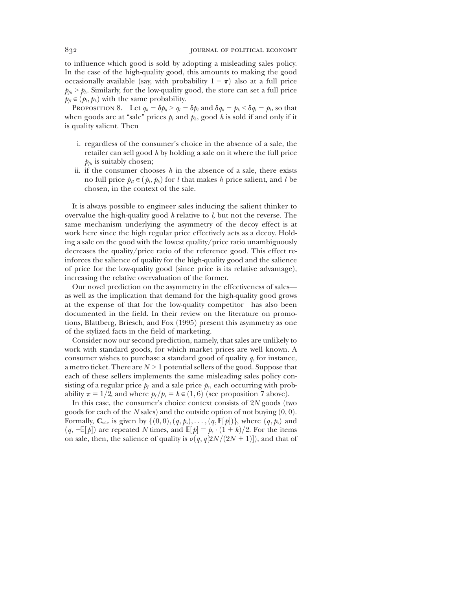to influence which good is sold by adopting a misleading sales policy. In the case of the high-quality good, this amounts to making the good occasionally available (say, with probability  $1 - \pi$ ) also at a full price  $p_{\text{th}} > p_{\text{th}}$ . Similarly, for the low-quality good, the store can set a full price  $p_{\text{f1}} \in (p_{\text{t}}, p_{\text{h}})$  with the same probability.

PROPOSITION 8. Let  $q_h - \delta p_h > q_l - \delta p_l$  and  $\delta q_h - p_h < \delta q_l - p_l$ , so that when goods are at "sale" prices  $p_l$  and  $p_h$ , good h is sold if and only if it is quality salient. Then

- i. regardless of the consumer's choice in the absence of a sale, the retailer can sell good h by holding a sale on it where the full price  $p_{fh}$  is suitably chosen;
- ii. if the consumer chooses  $h$  in the absence of a sale, there exists no full price  $p_{\parallel} \in (p_l, p_h)$  for *l* that makes *h* price salient, and *l* be chosen, in the context of the sale.

It is always possible to engineer sales inducing the salient thinker to overvalue the high-quality good  $h$  relative to  $l$ , but not the reverse. The same mechanism underlying the asymmetry of the decoy effect is at work here since the high regular price effectively acts as a decoy. Holding a sale on the good with the lowest quality/price ratio unambiguously decreases the quality/price ratio of the reference good. This effect reinforces the salience of quality for the high-quality good and the salience of price for the low-quality good (since price is its relative advantage), increasing the relative overvaluation of the former.

Our novel prediction on the asymmetry in the effectiveness of sales as well as the implication that demand for the high-quality good grows at the expense of that for the low-quality competitor—has also been documented in the field. In their review on the literature on promotions, Blattberg, Briesch, and Fox (1995) present this asymmetry as one of the stylized facts in the field of marketing.

Consider now our second prediction, namely, that sales are unlikely to work with standard goods, for which market prices are well known. A consumer wishes to purchase a standard good of quality q, for instance, a metro ticket. There are  $N > 1$  potential sellers of the good. Suppose that each of these sellers implements the same misleading sales policy consisting of a regular price  $p_f$  and a sale price  $p_s$ , each occurring with probability  $\pi = 1/2$ , and where  $p_f / p_s = k \in (1, 6)$  (see proposition 7 above).

In this case, the consumer's choice context consists of  $2N$  goods (two goods for each of the N sales) and the outside option of not buying  $(0, 0)$ . Formally,  $\mathbf{C}_{\text{safe}}$  is given by  $\{(0,0), (q, p_s), \ldots, (q, \mathbb{E}[p])\}$ , where  $(q, p_s)$  and  $(q, -\mathbb{E}[p])$  are repeated N times, and  $\mathbb{E}[p] = p_s \cdot (1 + k)/2$ . For the items on sale, then, the salience of quality is  $\sigma(q, q[2N/(2N+1)])$ , and that of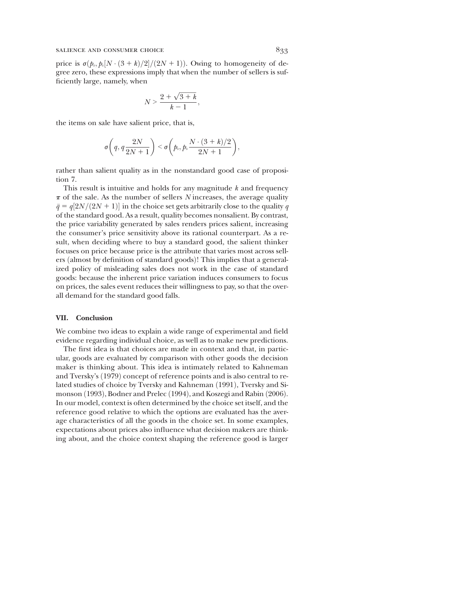# salience and consumer choice 833

price is  $\sigma(p_s, p_s[N \cdot (3 + k)/2]/(2N + 1))$ . Owing to homogeneity of degree zero, these expressions imply that when the number of sellers is sufficiently large, namely, when

$$
N > \frac{2 + \sqrt{3 + k}}{k - 1},
$$

the items on sale have salient price, that is,

$$
\sigma\bigg(q,q\,\frac{2N}{2N+1}\bigg)<\sigma\bigg(p_s,p_s\frac{N\cdot(3+k)/2}{2N+1}\bigg),
$$

rather than salient quality as in the nonstandard good case of proposition 7.

This result is intuitive and holds for any magnitude k and frequency  $\pi$  of the sale. As the number of sellers N increases, the average quality  $\bar{q} = q[2N/(2N+1)]$  in the choice set gets arbitrarily close to the quality  $q$  of the standard good. As a result, quality becomes popularity By contrast. of the standard good. As a result, quality becomes nonsalient. By contrast, the price variability generated by sales renders prices salient, increasing the consumer's price sensitivity above its rational counterpart. As a result, when deciding where to buy a standard good, the salient thinker focuses on price because price is the attribute that varies most across sellers (almost by definition of standard goods)! This implies that a generalized policy of misleading sales does not work in the case of standard goods: because the inherent price variation induces consumers to focus on prices, the sales event reduces their willingness to pay, so that the overall demand for the standard good falls.

### VII. Conclusion

We combine two ideas to explain a wide range of experimental and field evidence regarding individual choice, as well as to make new predictions.

The first idea is that choices are made in context and that, in particular, goods are evaluated by comparison with other goods the decision maker is thinking about. This idea is intimately related to Kahneman and Tversky's (1979) concept of reference points and is also central to related studies of choice by Tversky and Kahneman (1991), Tversky and Simonson (1993), Bodner and Prelec (1994), and Koszegi and Rabin (2006). In our model, context is often determined by the choice set itself, and the reference good relative to which the options are evaluated has the average characteristics of all the goods in the choice set. In some examples, expectations about prices also influence what decision makers are thinking about, and the choice context shaping the reference good is larger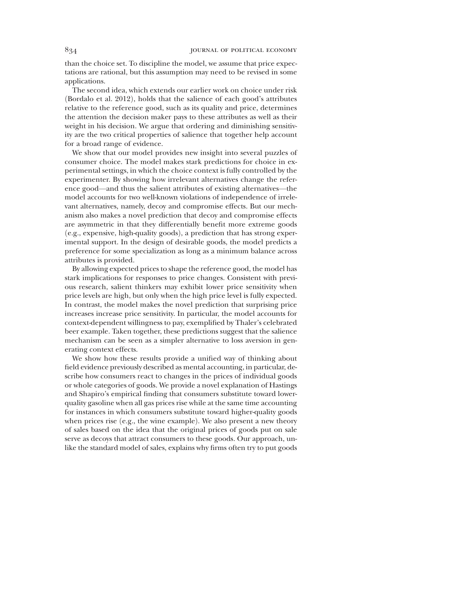than the choice set. To discipline the model, we assume that price expectations are rational, but this assumption may need to be revised in some applications.

The second idea, which extends our earlier work on choice under risk  $($ Bordalo et al. 2012 $)$ , holds that the salience of each good's attributes relative to the reference good, such as its quality and price, determines the attention the decision maker pays to these attributes as well as their weight in his decision. We argue that ordering and diminishing sensitivity are the two critical properties of salience that together help account for a broad range of evidence.

We show that our model provides new insight into several puzzles of consumer choice. The model makes stark predictions for choice in experimental settings, in which the choice context is fully controlled by the experimenter. By showing how irrelevant alternatives change the reference good—and thus the salient attributes of existing alternatives—the model accounts for two well-known violations of independence of irrelevant alternatives, namely, decoy and compromise effects. But our mechanism also makes a novel prediction that decoy and compromise effects are asymmetric in that they differentially benefit more extreme goods (e.g., expensive, high-quality goods), a prediction that has strong experimental support. In the design of desirable goods, the model predicts a preference for some specialization as long as a minimum balance across attributes is provided.

By allowing expected prices to shape the reference good, the model has stark implications for responses to price changes. Consistent with previous research, salient thinkers may exhibit lower price sensitivity when price levels are high, but only when the high price level is fully expected. In contrast, the model makes the novel prediction that surprising price increases increase price sensitivity. In particular, the model accounts for context-dependent willingness to pay, exemplified by Thaler's celebrated beer example. Taken together, these predictions suggest that the salience mechanism can be seen as a simpler alternative to loss aversion in generating context effects.

We show how these results provide a unified way of thinking about field evidence previously described as mental accounting, in particular, describe how consumers react to changes in the prices of individual goods or whole categories of goods. We provide a novel explanation of Hastings and Shapiro's empirical finding that consumers substitute toward lowerquality gasoline when all gas prices rise while at the same time accounting for instances in which consumers substitute toward higher-quality goods when prices rise (e.g., the wine example). We also present a new theory of sales based on the idea that the original prices of goods put on sale serve as decoys that attract consumers to these goods. Our approach, unlike the standard model of sales, explains why firms often try to put goods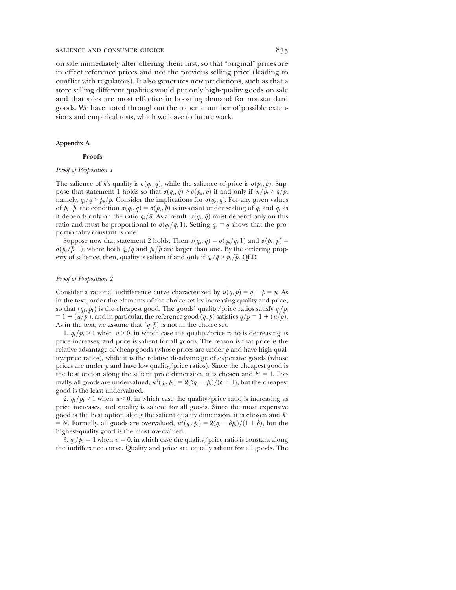on sale immediately after offering them first, so that "original" prices are in effect reference prices and not the previous selling price (leading to conflict with regulators). It also generates new predictions, such as that a store selling different qualities would put only high-quality goods on sale and that sales are most effective in boosting demand for nonstandard goods. We have noted throughout the paper a number of possible extensions and empirical tests, which we leave to future work.

# Appendix A

#### Proofs

# Proof of Proposition 1

The salience of k's quality is  $\sigma(q_k, \bar{q})$ , while the salience of price is  $\sigma(p_k, \bar{p})$ . Sup-<br>pose that statement 1 holds so that  $\sigma(q, \bar{q}) > \sigma(p, \bar{q})$  if and only if  $q/(p) > \bar{q}/\bar{p}$ . pose that statement 1 holds so that  $\sigma(q_h, \bar{q}) > \sigma(p_h, \bar{p})$  if and only if  $q_h/p_h > \bar{q}/\bar{p}$ ,<br>pamely  $q/\bar{q} > h/\bar{h}$  Consider the implications for  $q(q, \bar{q})$ . For any given values namely,  $q_k/\bar{q} > p_k/\bar{p}$ . Consider the implications for  $\sigma(q_k, \bar{q})$ . For any given values of  $p_k$ ,  $\bar{p}$ , the condition  $\sigma(q_k, \bar{q}) = \sigma(p_k, \bar{p})$  is invariant under scaling of  $q_k$  and  $\bar{q}$ , as it depends only on the ratio  $q_k/\bar{q}$ . As a result,  $\sigma(q_k, \bar{q})$  must depend only on this ratio and must be proportional to  $\sigma(q_k/\bar{q}, 1)$ . Setting  $q = \bar{q}$  shows that the proratio and must be proportional to  $\sigma(q_k/\bar{q}, 1)$ . Setting  $q_k = \bar{q}$  shows that the proportionality constant is one.

Suppose now that statement 2 holds. Then  $\sigma(q_k, \bar{q}) = \sigma(q_k/\bar{q}, 1)$  and  $\sigma(p_k, \bar{p}) =$ <br>b  $(\bar{h}, 1)$ , where both  $g/\bar{q}$  and h  $/\bar{h}$  are larger than one. By the ordering prop- $\sigma(p_k/\bar{p}, 1)$ , where both  $q_k/\bar{q}$  and  $p_k/\bar{p}$  are larger than one. By the ordering prop-<br>erty of solience, then, quality is solient if and only if  $q/\bar{q} \geq h/\bar{h}$ . OED erty of salience, then, quality is salient if and only if  $q_k/\bar{q} > p_k/\bar{p}$ . QED

# Proof of Proposition 2

Consider a rational indifference curve characterized by  $u(q, p) = q - p = u$ . As in the text, order the elements of the choice set by increasing quality and price, so that  $(q_1, p_1)$  is the cheapest good. The goods' quality/price ratios satisfy  $q_i/p_i$  $= 1 + (u/p_i)$ , and in particular, the reference good  $(\bar{q}, \bar{p})$  satisfies  $\bar{q}/\bar{p} = 1 + (u/\bar{p})$ . As in the text, we assume that  $(\bar{q}, \bar{p})$  is not in the choice set.<br>  $\frac{1}{q}$   $\frac{d}{dr} > 1$  when  $y > 0$  in which case the quality/price

1.  $q_1/p_1 > 1$  when  $u > 0$ , in which case the quality/price ratio is decreasing as price increases, and price is salient for all goods. The reason is that price is the relative advantage of cheap goods (whose prices are under  $\bar{p}$  and have high qual-<br>its/price ratios), while it is the relative disadvantage of expensive goods (whose ity/price ratios), while it is the relative disadvantage of expensive goods (whose prices are under  $\bar{p}$  and have low quality/price ratios). Since the cheapest good is<br>the best option along the salient price dimension, it is chosen and  $b^* = 1$ . For the best option along the salient price dimension, it is chosen and  $k^* = 1$ . Formally, all goods are undervalued,  $u^s(q_i, p_i) = 2(\delta q_i - p_i)/(\delta + 1)$ , but the cheapest good is the least undervalued.

2.  $q_1/p_1 < 1$  when  $u < 0$ , in which case the quality/price ratio is increasing as price increases, and quality is salient for all goods. Since the most expensive good is the best option along the salient quality dimension, it is chosen and  $k^*$  $= N$ . Formally, all goods are overvalued,  $u^{s}(q_i, p_i) = 2(q_i - \delta p_i)/(1 + \delta)$ , but the highest-quality good is the most overvalued.

3.  $q_1/p_1 = 1$  when  $u = 0$ , in which case the quality/price ratio is constant along the indifference curve. Quality and price are equally salient for all goods. The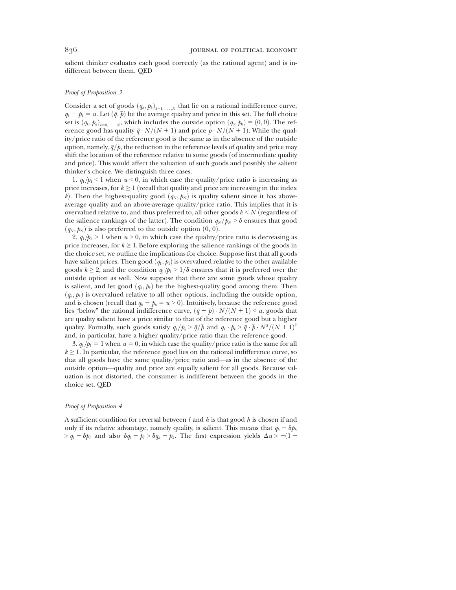salient thinker evaluates each good correctly (as the rational agent) and is indifferent between them. QED

# Proof of Proposition 3

Consider a set of goods  $(q_k, p_k)_{k=1,\ldots,N}$  that lie on a rational indifference curve,  $q_k - p_k = u$ . Let  $(\bar{q}, \bar{p})$  be the average quality and price in this set. The full choice set is  $(q_k, p_k)_{k=0,\ldots,N}$ , which includes the outside option  $(q_0, p_0) = (0, 0)$ . The reference good has quality  $\bar{q} \cdot N/(N+1)$  and price  $\bar{\hat{p}} \cdot N/(\bar{N}+1)$ . While the qual-<br>ity/price ratio of the reference good is the same as in the absence of the outside  $\frac{1}{2}$  ity/price ratio of the reference good is the same as in the absence of the outside option, namely,  $\bar{q}/\bar{p}$ , the reduction in the reference levels of quality and price may shift the location of the reference relative to some goods (of intermediate quality and price). This would affect the valuation of such goods and possibly the salient thinker's choice. We distinguish three cases.

1.  $q_1/p_1 < 1$  when  $u < 0$ , in which case the quality/price ratio is increasing as price increases, for  $k \geq 1$  (recall that quality and price are increasing in the index k). Then the highest-quality good  $(q_N, p_N)$  is quality salient since it has aboveaverage quality and an above-average quality/price ratio. This implies that it is overvalued relative to, and thus preferred to, all other goods  $k \leq N$  (regardless of the salience rankings of the latter). The condition  $q_N / p_N > \delta$  ensures that good  $(q_N, p_N)$  is also preferred to the outside option  $(0, 0)$ .

2.  $q_1/p_1 > 1$  when  $u > 0$ , in which case the quality/price ratio is decreasing as price increases, for  $k \geq 1$ . Before exploring the salience rankings of the goods in the choice set, we outline the implications for choice. Suppose first that all goods have salient prices. Then good  $(q_1, p_1)$  is overvalued relative to the other available goods  $k \geq 2$ , and the condition  $q_1/p_1 > 1/\delta$  ensures that it is preferred over the outside option as well. Now suppose that there are some goods whose quality is salient, and let good  $(q_k, p_k)$  be the highest-quality good among them. Then  $(q_k, p_k)$  is overvalued relative to all other options, including the outside option, and is chosen (recall that  $q_k - p_k = u > 0$ ). Intuitively, because the reference good lies "below" the rational indifference curve,  $(\bar{q} - \bar{p}) \cdot N/(N + 1) \le u$ , goods that are quality salient have a price similar to that of the reference good but a higher and  $\frac{1}{2}$ quality. Formally, such goods satisfy  $q_k/p_k > \bar{q}/\bar{p}$  and  $q_k \cdot p_k > \bar{q} \cdot \bar{p} \cdot N^2/(N+1)^2$ <br>and in particular have a higher quality/price ratio than the reference good and, in particular, have a higher quality/price ratio than the reference good.

3.  $q_1/p_1 = 1$  when  $u = 0$ , in which case the quality/price ratio is the same for all  $k \geq 1$ . In particular, the reference good lies on the rational indifference curve, so that all goods have the same quality/price ratio and—as in the absence of the outside option—quality and price are equally salient for all goods. Because valuation is not distorted, the consumer is indifferent between the goods in the choice set. QED

#### Proof of Proposition 4

A sufficient condition for reversal between  $l$  and  $h$  is that good  $h$  is chosen if and only if its relative advantage, namely quality, is salient. This means that  $q_h - \delta p_h$  $> q_l - \delta p_l$  and also  $\delta q_l - p_l > \delta q_h - p_h$ . The first expression yields  $\Delta u > -(1 - \delta p_l)$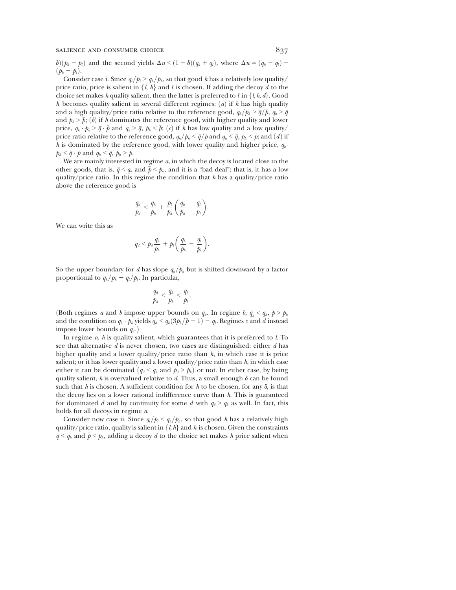$\delta$ ) $(p_h - p_l)$  and the second yields  $\Delta u \le (1 - \delta)(q_h + q_l)$ , where  $\Delta u = (q_h - q_l)$  $(p_h - p_l)$ .

Consider case i. Since  $q_l/p_l > q_h/p_h$ , so that good h has a relatively low quality/ price ratio, price is salient in  $\{l, h\}$  and l is chosen. If adding the decoy d to the choice set makes h quality salient, then the latter is preferred to l in  $\{l, h, d\}$ . Good h becomes quality salient in several different regimes: (a) if h has high quality and a high quality/price ratio relative to the reference good,  $q_h/p_h > \bar{q}/\bar{p}$ ,  $q_h > \bar{q}$ and  $p_h > \bar{p}$ ; (b) if h dominates the reference good, with higher quality and lower price,  $q_h \cdot \bar{p}_h > \bar{q} \cdot \bar{p}$  and  $q_h > \bar{q}$ ,  $\bar{p}_h < \bar{p}$ ; (c) if h has low quality and a low quality/<br>price ratio relative to the reference good, a  $\bar{p}_h < \bar{q}/\bar{q}$  and  $a < \bar{q}_h$ ,  $\bar{q}_h$  and (d) if price ratio relative to the reference good,  $q_h/p_h < \bar{q}/\bar{p}$  and  $q_h < \bar{q}$ ,  $p_h < \bar{p}$ ; and (d) if  $h$  is dominated by the reference good, with lower quality and higher price,  $q_h$ h is dominated by the reference good, with lower quality and higher price,  $q_h$ .  $p_h < \bar{q} \cdot \bar{p}$  and  $q_h < \bar{q}$ ,  $p_h > \bar{p}$ .

We are mainly interested in regime  $a$ , in which the decoy is located close to the other goods, that is,  $\bar{q} < q_h$  and  $\bar{p} < p_h$ , and it is a "bad deal"; that is, it has a low quality/price ratio. In this regime the condition that  $h$  has a quality/price ratio above the reference good is

$$
\frac{q_d}{p_d} < \frac{q_h}{p_h} + \frac{p_l}{p_d} \bigg( \frac{q_h}{p_h} - \frac{q_l}{p_l} \bigg).
$$

We can write this as

$$
q_d < p_d \frac{q_h}{p_h} + p_l \bigg( \frac{q_h}{p_h} - \frac{q_l}{p_l} \bigg).
$$

So the upper boundary for d has slope  $q_h / p_h$  but is shifted downward by a factor proportional to  $q_h/p_h-q_l/p_l$ . In particular,

$$
\frac{q_d}{p_d} < \frac{q_h}{p_h} < \frac{q_l}{p_l}.
$$

(Both regimes a and b impose upper bounds on  $q_d$ . In regime b,  $\bar{q}_d < q_h$ ,  $\bar{p} > p_h$ )<br>and the condition on  $q_h$ , h vields  $q \leq q_1(3h/\bar{h}-1) - q_h$ . Beginnes c and d instead and the condition on  $q_h \cdot \dot{p}_h$  yields  $q_d < q_h(3p_h/\bar{p} - 1) - q_l$ . Regimes c and d instead impose lower bounds on  $q_d$ .

In regime  $a$ ,  $h$  is quality salient, which guarantees that it is preferred to  $l$ . To see that alternative d is never chosen, two cases are distinguished: either d has higher quality and a lower quality/price ratio than  $h$ , in which case it is price salient; or it has lower quality and a lower quality/price ratio than  $h$ , in which case either it can be dominated  $(q_d < q_h$  and  $p_d > p_h$  or not. In either case, by being quality salient, h is overvalued relative to d. Thus, a small enough  $\delta$  can be found such that h is chosen. A sufficient condition for h to be chosen, for any  $\delta$ , is that the decoy lies on a lower rational indifference curve than  $h$ . This is guaranteed for dominated d and by continuity for some d with  $q_d > q_h$  as well. In fact, this holds for all decoys in regime a.

Consider now case ii. Since  $q_l/p_l \leq q_h/p_h$ , so that good h has a relatively high quality/price ratio, quality is salient in  $\{l,h\}$  and h is chosen. Given the constraints  $\bar{q} < q_h$  and  $\bar{p} < p_h$ , adding a decoy d to the choice set makes h price salient when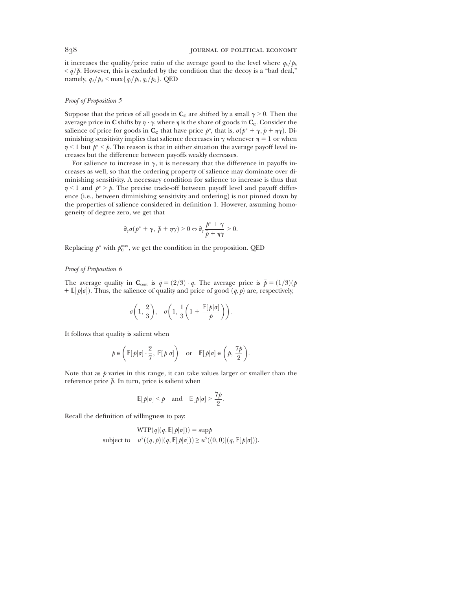it increases the quality/price ratio of the average good to the level where  $q_h / p_h$  $\leq \bar{q}/\bar{p}$ . However, this is excluded by the condition that the decoy is a "bad deal," namely,  $q_d / p_d < \max\{q_l / p_l, q_h / p_h\}$ . QED

#### Proof of Proposition 5

Suppose that the prices of all goods in  $C_c$  are shifted by a small  $\gamma > 0$ . Then the average price in **C** shifts by  $\eta \cdot \gamma$ , where  $\eta$  is the share of goods in **C**<sub>c</sub>. Consider the salience of price for goods in **C**<sub>c</sub>, that have price  $\phi^*$ , that is  $\sigma(\phi^* + \alpha, \bar{\phi} + m\alpha)$ . Disalience of price for goods in  $\mathbb{C}_{\mathbb{C}}$  that have price  $p^*$ , that is,  $\sigma(p^* + \gamma, \bar{p} + \eta \gamma)$ . Di-<br>minishing sensitivity implies that salience decreases in  $\alpha$  whenever  $n = 1$  or when minishing sensitivity implies that salience decreases in  $\gamma$  whenever  $\eta = 1$  or when  $\eta$  < 1 but  $p^*$  <  $\bar{p}$ . The reason is that in either situation the average payoff level increases but the difference between payoffs weakly decreases.

For salience to increase in  $\gamma$ , it is necessary that the difference in payoffs increases as well, so that the ordering property of salience may dominate over diminishing sensitivity. A necessary condition for salience to increase is thus that  $\eta$  < 1 and  $p^*$  >  $\bar{p}$ . The precise trade-off between payoff level and payoff difference (i.e., between diminishing sensitivity and ordering) is not pinned down by the properties of salience considered in definition 1. However, assuming homogeneity of degree zero, we get that

$$
\partial_\gamma \sigma(p^* + \gamma, \ \bar{p} + \eta \gamma) > 0 \Leftrightarrow \partial_\gamma \frac{p^* + \gamma}{\bar{p} + \eta \gamma} > 0.
$$

Replacing  $p^*$  with  $p^{\max}_{\text{c}}$ , we get the condition in the proposition. QED

# Proof of Proposition 6

The average quality in  $\mathbf{C}_{\text{cont}}$  is  $\bar{q} = (2/3) \cdot q$ . The average price is  $\bar{p} = (1/3)(p + \mathbb{E}[q|\mathbf{a}])$ . Thus the solience of quality and price of good  $(q, \mathbf{b})$  are respectively.  $+ \mathbb{E}[\phi|\sigma]$ ). Thus, the salience of quality and price of good  $(q, p)$  are, respectively,

$$
\sigma\bigg(1,\frac{2}{3}\bigg), \quad \sigma\bigg(1,\frac{1}{3}\bigg(1+\frac{\mathbb{E}[p|\sigma]}{p}\bigg)\bigg).
$$

It follows that quality is salient when

$$
p \in \left(\mathbb{E}[p|\sigma] \cdot \frac{2}{7}, \ \mathbb{E}[p|\sigma]\right) \quad \text{or} \quad \mathbb{E}[p|\sigma] \in \left(p, \ \frac{7p}{2}\right).
$$

Note that as  $p$  varies in this range, it can take values larger or smaller than the reference price  $\bar{p}$ . In turn, price is salient when

$$
\mathbb{E}[p|\sigma] < p \quad \text{and} \quad \mathbb{E}[p|\sigma] > \frac{7p}{2}.
$$

Recall the definition of willingness to pay:

$$
\text{WTP}(q|(q, \mathbb{E}[p|\sigma])) = \sup p
$$
\n
$$
\text{subject to} \quad u^s((q, p)|(q, \mathbb{E}[p|\sigma])) \ge u^s((0, 0)|(q, \mathbb{E}[p|\sigma])).
$$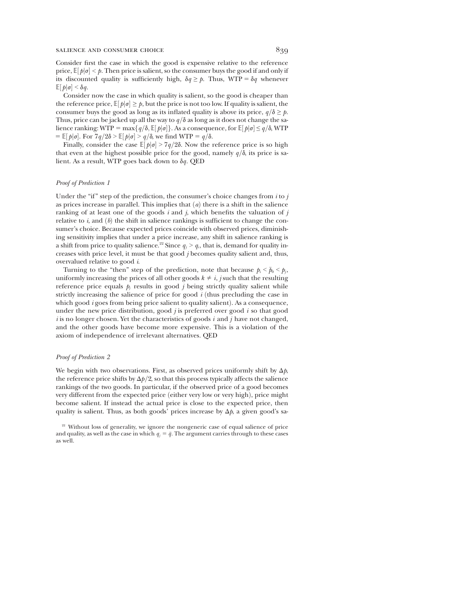Consider first the case in which the good is expensive relative to the reference price,  $\mathbb{E}[\phi|\sigma] \leq p$ . Then price is salient, so the consumer buys the good if and only if its discounted quality is sufficiently high,  $\delta q \geq p$ . Thus, WTP =  $\delta q$  whenever  $\mathbb{E}[\phi|\sigma] \leq \delta q.$ 

Consider now the case in which quality is salient, so the good is cheaper than the reference price,  $\mathbb{E}[\phi|\sigma] \geq p$ , but the price is not too low. If quality is salient, the consumer buys the good as long as its inflated quality is above its price,  $q/\delta \geq p$ . Thus, price can be jacked up all the way to  $q/\delta$  as long as it does not change the salience ranking: WTP = max $\{q/\delta, \mathbb{E}[\phi|\sigma]\}.$  As a consequence, for  $\mathbb{E}[\phi|\sigma] \leq q/\delta$ , WTP  $=\mathbb{E}[p|\sigma]$ . For  $7q/2\delta > \mathbb{E}[p|\sigma] > q/\delta$ , we find WTP =  $q/\delta$ .

Finally, consider the case  $\mathbb{E}[\phi|\sigma] > 7q/2\delta$ . Now the reference price is so high that even at the highest possible price for the good, namely  $q/\delta$ , its price is salient. As a result, WTP goes back down to  $\delta q$ . QED

# Proof of Prediction 1

Under the "if" step of the prediction, the consumer's choice changes from  $i$  to  $j$ as prices increase in parallel. This implies that  $(a)$  there is a shift in the salience ranking of at least one of the goods  $i$  and  $j$ , which benefits the valuation of  $j$ relative to  $i$ , and  $(b)$  the shift in salience rankings is sufficient to change the consumer's choice. Because expected prices coincide with observed prices, diminishing sensitivity implies that under a price increase, any shift in salience ranking is a shift from price to quality salience.<sup>22</sup> Since  $q_i > q_i$ , that is, demand for quality increases with price level, it must be that good  $j$  becomes quality salient and, thus, overvalued relative to good i.

Turning to the "then" step of the prediction, note that because  $p_i < \bar{p}_0 < p_j$ , uniformly increasing the prices of all other goods  $k \neq i$ , j such that the resulting reference price equals  $p_j$  results in good j being strictly quality salient while strictly increasing the salience of price for good  $i$  (thus precluding the case in which good  $i$  goes from being price salient to quality salient). As a consequence, under the new price distribution, good  $j$  is preferred over good  $i$  so that good  $i$  is no longer chosen. Yet the characteristics of goods  $i$  and  $j$  have not changed, and the other goods have become more expensive. This is a violation of the axiom of independence of irrelevant alternatives. QED

# Proof of Prediction 2

We begin with two observations. First, as observed prices uniformly shift by  $\Delta p$ , the reference price shifts by  $\Delta p/2$ , so that this process typically affects the salience rankings of the two goods. In particular, if the observed price of a good becomes very different from the expected price (either very low or very high), price might become salient. If instead the actual price is close to the expected price, then quality is salient. Thus, as both goods' prices increase by  $\Delta p$ , a given good's sa-

<sup>&</sup>lt;sup>22</sup> Without loss of generality, we ignore the nongeneric case of equal salience of price and quality, as well as the case in which  $q_i = \bar{q}$ . The argument carries through to these cases as well.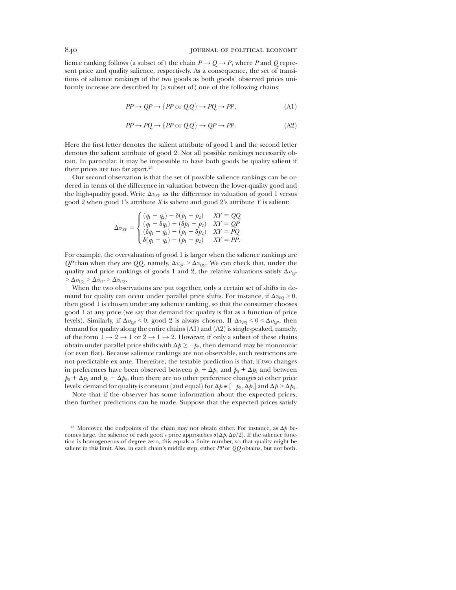lience ranking follows (a subset of) the chain  $P \to Q \to P$ , where P and Q represent price and quality salience, respectively. As a consequence, the set of transitions of salience rankings of the two goods as both goods' observed prices uniformly increase are described by  $(a$  subset of  $)$  one of the following chains:

$$
PP \to QP \to \{PP \text{ or } QQ\} \to PQ \to PP,\tag{A1}
$$

$$
PP \to PQ \to \{PP \text{ or } QQ\} \to QP \to PP. \tag{A2}
$$

Here the first letter denotes the salient attribute of good 1 and the second letter denotes the salient attribute of good 2. Not all possible rankings necessarily obtain. In particular, it may be impossible to have both goods be quality salient if their prices are too far apart. $23$ 

Our second observation is that the set of possible salience rankings can be ordered in terms of the difference in valuation between the lower-quality good and the high-quality good. Write  $\Delta v_{XY}$  as the difference in valuation of good 1 versus good 2 when good 1's attribute X is salient and good 2's attribute Y is salient:

$$
\Delta v_{XY} = \begin{cases}\n(q_1 - q_2) - \delta(p_1 - p_2) & XY = QQ \\
(q_1 - \delta q_2) - (\delta p_1 - p_2) & XY = QP \\
(\delta q_1 - q_2) - (p_1 - \delta p_2) & XY = PQ \\
\delta(q_1 - q_2) - (p_1 - p_2) & XY = PP.\n\end{cases}
$$

For example, the overvaluation of good 1 is larger when the salience rankings are  $QP$  than when they are  $QQ$ , namely,  $\Delta v_{QP} > \Delta v_{QQ}$ . We can check that, under the quality and price rankings of goods 1 and 2, the relative valuations satisfy  $\Delta v_{OP}$  $> \Delta v_{QQ} > \Delta v_{PP} > \Delta v_{PQ}$ .

When the two observations are put together, only a certain set of shifts in demand for quality can occur under parallel price shifts. For instance, if  $\Delta v_{PQ} > 0$ , then good 1 is chosen under any salience ranking, so that the consumer chooses good 1 at any price (we say that demand for quality is flat as a function of price levels). Similarly, if  $\Delta v_{OP} < 0$ , good 2 is always chosen. If  $\Delta v_{PO} < 0 < \Delta v_{OP}$ , then demand for quality along the entire chains  $(A1)$  and  $(A2)$  is single-peaked, namely, of the form  $1 \rightarrow 2 \rightarrow 1$  or  $2 \rightarrow 1 \rightarrow 2$ . However, if only a subset of these chains obtain under parallel price shifts with  $\Delta p \ge -p_2$ , then demand may be monotonic (or even flat). Because salience rankings are not observable, such restrictions are not predictable ex ante. Therefore, the testable prediction is that, if two changes in preferences have been observed between  $\bar{p}_0 + \Delta p_1$  and  $\bar{p}_0 + \Delta p_2$  and between  $\bar{p}_0 + \Delta p_2$  and  $\bar{p}_0 + \Delta p_3$ , then there are no other preference changes at other price levels: demand for quality is constant (and equal) for  $\Delta p \in [-p_2, \Delta p_1]$  and  $\Delta p > \Delta p_3$ .

Note that if the observer has some information about the expected prices, then further predictions can be made. Suppose that the expected prices satisfy

<sup>&</sup>lt;sup>23</sup> Moreover, the endpoints of the chain may not obtain either. For instance, as  $\Delta p$  becomes large, the salience of each good's price approaches  $\sigma(\Delta p, \Delta p/2)$ . If the salience function is homogeneous of degree zero, this equals a finite number, so that quality might be salient in this limit. Also, in each chain's middle step, either PP or QQ obtains, but not both.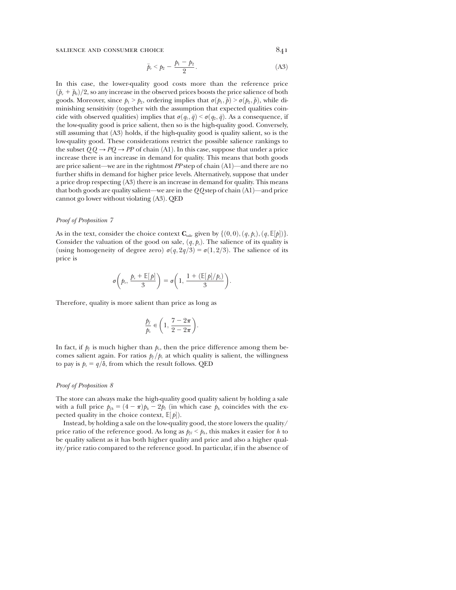salience and consumer choice 841

$$
\bar{p}_e < p_2 - \frac{p_1 - p_2}{2}.\tag{A3}
$$

In this case, the lower-quality good costs more than the reference price  $(\bar{p}_e + \bar{p}_0)/2$ , so any increase in the observed prices boosts the price salience of both goods. Moreover, since  $\hbar \ge \hbar$ , ordering implies that  $\sigma(h, \bar{h}) \ge \sigma(h, \bar{h})$ , while digoods. Moreover, since  $p_1 > p_2$ , ordering implies that  $\sigma(p_1, \vec{p}) > \sigma(p_2, \vec{p})$ , while di-<br>minishing sensitivity (together with the assumption that expected qualities coinminishing sensitivity (together with the assumption that expected qualities coincide with observed qualities) implies that  $\sigma(q_1, \bar{q}) < \sigma(q_2, \bar{q})$ . As a consequence, if the low-quality good is price salient, then so is the high-quality good. Conversely, still assuming that  $(A3)$  holds, if the high-quality good is quality salient, so is the low-quality good. These considerations restrict the possible salience rankings to the subset  $QQ \rightarrow PQ \rightarrow PP$  of chain (A1). In this case, suppose that under a price increase there is an increase in demand for quality. This means that both goods are price salient—we are in the rightmost  $PP$  step of chain  $(A1)$ —and there are no further shifts in demand for higher price levels. Alternatively, suppose that under a price drop respecting  $(A3)$  there is an increase in demand for quality. This means that both goods are quality salient—we are in the  $QQ$  step of chain  $(A1)$ —and price cannot go lower without violating  $(A3)$ . QED

#### Proof of Proposition 7

As in the text, consider the choice context  $\mathbf{C}_{\text{safe}}$  given by  $\{(0,0),(q,p_s),(q,\mathbb{E}[p])\}.$ Consider the valuation of the good on sale,  $(q, p_s)$ . The salience of its quality is (using homogeneity of degree zero)  $\sigma(q, 2q/3) = \sigma(1, 2/3)$ . The salience of its price is

$$
\sigma\bigg(p_s,\frac{p_s+\mathbb{E}[p]}{3}\bigg)=\sigma\bigg(1,\frac{1+(\mathbb{E}[p]/p_s)}{3}\bigg).
$$

Therefore, quality is more salient than price as long as

$$
\frac{p_f}{p_s} \in \left(1, \, \frac{7-2\pi}{2-2\pi}\right).
$$

In fact, if  $p_f$  is much higher than  $p_s$ , then the price difference among them becomes salient again. For ratios  $p_f / p_s$  at which quality is salient, the willingness to pay is  $p_s = q/\delta$ , from which the result follows. QED

# Proof of Proposition 8

The store can always make the high-quality good quality salient by holding a sale with a full price  $p_{th} = (4 - \pi)p_h - 2p_l$  (in which case  $p_h$  coincides with the expected quality in the choice context,  $\mathbb{E}[\phi]$ .

Instead, by holding a sale on the low-quality good, the store lowers the quality/ price ratio of the reference good. As long as  $p_a < p_b$ , this makes it easier for h to be quality salient as it has both higher quality and price and also a higher quality/price ratio compared to the reference good. In particular, if in the absence of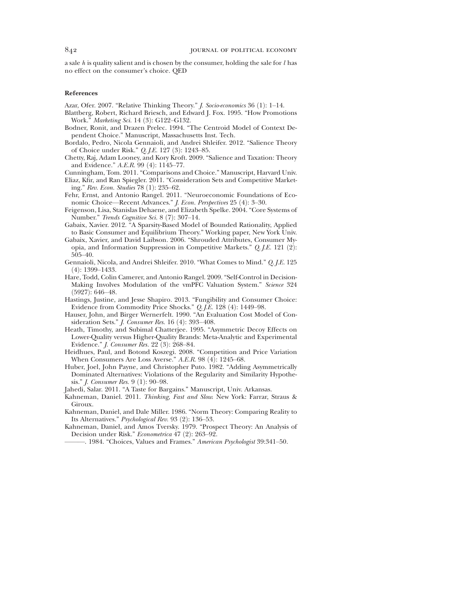a sale h is quality salient and is chosen by the consumer, holding the sale for  $l$  has no effect on the consumer's choice. QED

# References

- Azar, Ofer. 2007. "Relative Thinking Theory." *J. Socio-economics* 36 (1): 1–14.
- Blattberg, Robert, Richard Briesch, and Edward J. Fox. 1995. "How Promotions Work." Marketing Sci. 14 (3): G122-G132.
- Bodner, Ronit, and Drazen Prelec. 1994. "The Centroid Model of Context Dependent Choice." Manuscript, Massachusetts Inst. Tech.
- Bordalo, Pedro, Nicola Gennaioli, and Andrei Shleifer. 2012. "Salience Theory of Choice under Risk." Q. J.E. 127 (3): 1243–85.
- Chetty, Raj, Adam Looney, and Kory Kroft. 2009. "Salience and Taxation: Theory and Evidence." A.E.R. 99 (4): 1145-77.
- Cunningham, Tom. 2011. "Comparisons and Choice." Manuscript, Harvard Univ.
- Eliaz, Kfir, and Ran Spiegler. 2011. "Consideration Sets and Competitive Marketing." Rev. Econ. Studies 78 (1): 235–62.
- Fehr, Ernst, and Antonio Rangel. 2011. "Neuroeconomic Foundations of Economic Choice—Recent Advances." *J. Econ. Perspectives* 25 (4): 3–30.
- Feigenson, Lisa, Stanislas Dehaene, and Elizabeth Spelke. 2004. "Core Systems of Number." Trends Cognitive Sci. 8 (7): 307–14.
- Gabaix, Xavier. 2012. "A Sparsity-Based Model of Bounded Rationality, Applied to Basic Consumer and Equilibrium Theory." Working paper, New York Univ.
- Gabaix, Xavier, and David Laibson. 2006. "Shrouded Attributes, Consumer Myopia, and Information Suppression in Competitive Markets."  $Q$  *J.E.* 121 (2): 505–40.
- Gennaioli, Nicola, and Andrei Shleifer. 2010. "What Comes to Mind." Q. J.E. 125  $(4)$ : 1399–1433.
- Hare, Todd, Colin Camerer, and Antonio Rangel. 2009. "Self-Control in Decision-Making Involves Modulation of the vmPFC Valuation System." Science 324  $(5927): 646 - 48.$
- Hastings, Justine, and Jesse Shapiro. 2013. "Fungibility and Consumer Choice: Evidence from Commodity Price Shocks." Q.J.E. 128 (4): 1449–98.
- Hauser, John, and Birger Wernerfelt. 1990. "An Evaluation Cost Model of Consideration Sets." *J. Consumer Res.* 16 (4): 393-408.
- Heath, Timothy, and Subimal Chatterjee. 1995. "Asymmetric Decoy Effects on Lower-Quality versus Higher-Quality Brands: Meta-Analytic and Experimental Evidence." *J. Consumer Res.* 22 (3): 268–84.
- Heidhues, Paul, and Botond Koszegi. 2008. "Competition and Price Variation When Consumers Are Loss Averse."  $A.E.R.$  98 (4): 1245–68.
- Huber, Joel, John Payne, and Christopher Puto. 1982. "Adding Asymmetrically Dominated Alternatives: Violations of the Regularity and Similarity Hypothesis." *J. Consumer Res.* 9 (1): 90–98.
- Jahedi, Salar. 2011. "A Taste for Bargains." Manuscript, Univ. Arkansas.
- Kahneman, Daniel. 2011. Thinking, Fast and Slow. New York: Farrar, Straus & Giroux.
- Kahneman, Daniel, and Dale Miller. 1986. "Norm Theory: Comparing Reality to Its Alternatives." Psychological Rev. 93 (2): 136–53.
- Kahneman, Daniel, and Amos Tversky. 1979. "Prospect Theory: An Analysis of Decision under Risk." Econometrica 47 (2): 263-92.
- -. 1984. "Choices, Values and Frames." American Psychologist 39:341-50.